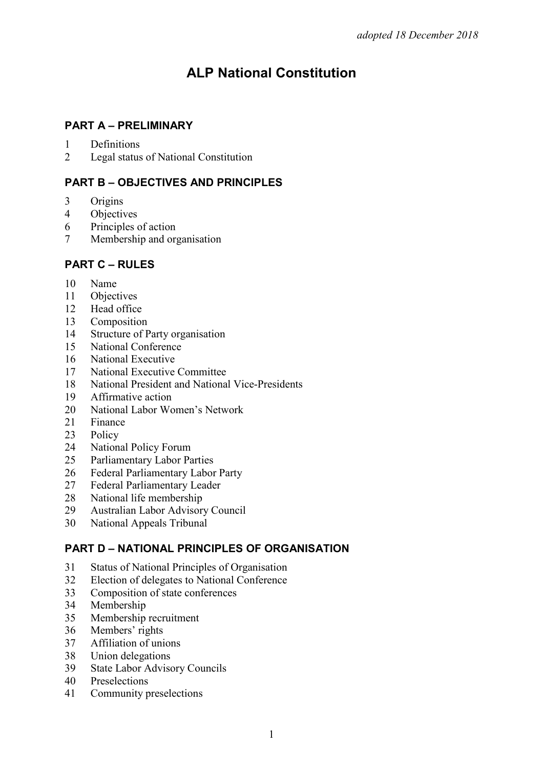# **ALP National Constitution**

# **PART A – PRELIMINARY**

- Definitions
- Legal status of National Constitution

# **PART B – OBJECTIVES AND PRINCIPLES**

- Origins
- Objectives
- Principles of action
- Membership and organisation

# **PART C – RULES**

- Name
- 11 Objectives<br>12 Head office
- Head office
- Composition
- 14 Structure of Party organisation<br>15 National Conference
- National Conference
- National Executive
- National Executive Committee
- National President and National Vice-Presidents
- Affirmative action
- National Labor Women's Network
- 21 Finance<br>23 Policy
- Policy
- National Policy Forum
- Parliamentary Labor Parties
- Federal Parliamentary Labor Party
- Federal Parliamentary Leader
- National life membership
- Australian Labor Advisory Council
- National Appeals Tribunal

# **PART D – NATIONAL PRINCIPLES OF ORGANISATION**

- Status of National Principles of Organisation
- Election of delegates to National Conference
- Composition of state conferences
- Membership
- Membership recruitment
- Members' rights
- Affiliation of unions
- Union delegations
- State Labor Advisory Councils
- Preselections
- Community preselections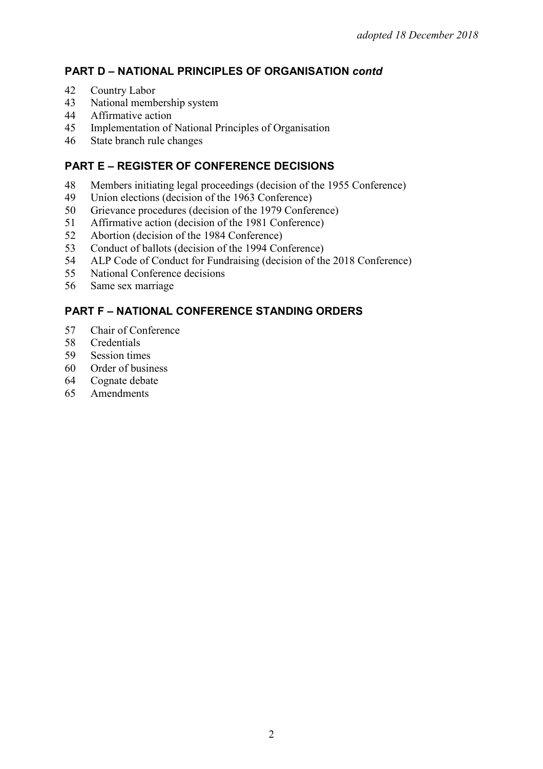# **PART D – NATIONAL PRINCIPLES OF ORGANISATION** *contd*

- 42 Country Labor
- 43 National membership system<br>44 Affirmative action
- 44 Affirmative action<br>45 Implementation of
- Implementation of National Principles of Organisation
- 46 State branch rule changes

# **PART E – REGISTER OF CONFERENCE DECISIONS**

- 48 Members initiating legal proceedings (decision of the 1955 Conference)<br>49 Union elections (decision of the 1963 Conference)
- 49 Union elections (decision of the 1963 Conference)<br>50 Grievance procedures (decision of the 1979 Confer
- Grievance procedures (decision of the 1979 Conference)
- 51 Affirmative action (decision of the 1981 Conference)<br>52 Abortion (decision of the 1984 Conference)
- 52 Abortion (decision of the 1984 Conference)
- 53 Conduct of ballots (decision of the 1994 Conference)<br>54 ALP Code of Conduct for Fundraising (decision of the
- ALP Code of Conduct for Fundraising (decision of the 2018 Conference)
- 55 National Conference decisions
- 56 Same sex marriage

# **PART F – NATIONAL CONFERENCE STANDING ORDERS**

- 57 Chair of Conference<br>58 Credentials
- 58 Credentials<br>59 Session time
- Session times
- 60 Order of business
- 64 Cognate debate
- 65 Amendments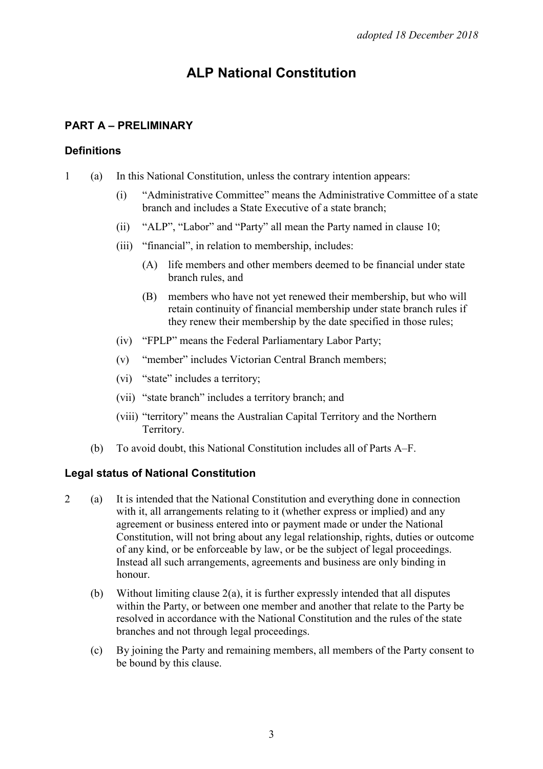# **ALP National Constitution**

## **PART A – PRELIMINARY**

#### **Definitions**

- 1 (a) In this National Constitution, unless the contrary intention appears:
	- (i) "Administrative Committee" means the Administrative Committee of a state branch and includes a State Executive of a state branch;
	- (ii) "ALP", "Labor" and "Party" all mean the Party named in clause 10;
	- (iii) "financial", in relation to membership, includes:
		- (A) life members and other members deemed to be financial under state branch rules, and
		- (B) members who have not yet renewed their membership, but who will retain continuity of financial membership under state branch rules if they renew their membership by the date specified in those rules;
	- (iv) "FPLP" means the Federal Parliamentary Labor Party;
	- (v) "member" includes Victorian Central Branch members;
	- (vi) "state" includes a territory;
	- (vii) "state branch" includes a territory branch; and
	- (viii) "territory" means the Australian Capital Territory and the Northern Territory.
	- (b) To avoid doubt, this National Constitution includes all of Parts A–F.

#### **Legal status of National Constitution**

- 2 (a) It is intended that the National Constitution and everything done in connection with it, all arrangements relating to it (whether express or implied) and any agreement or business entered into or payment made or under the National Constitution, will not bring about any legal relationship, rights, duties or outcome of any kind, or be enforceable by law, or be the subject of legal proceedings. Instead all such arrangements, agreements and business are only binding in honour.
	- (b) Without limiting clause 2(a), it is further expressly intended that all disputes within the Party, or between one member and another that relate to the Party be resolved in accordance with the National Constitution and the rules of the state branches and not through legal proceedings.
	- (c) By joining the Party and remaining members, all members of the Party consent to be bound by this clause.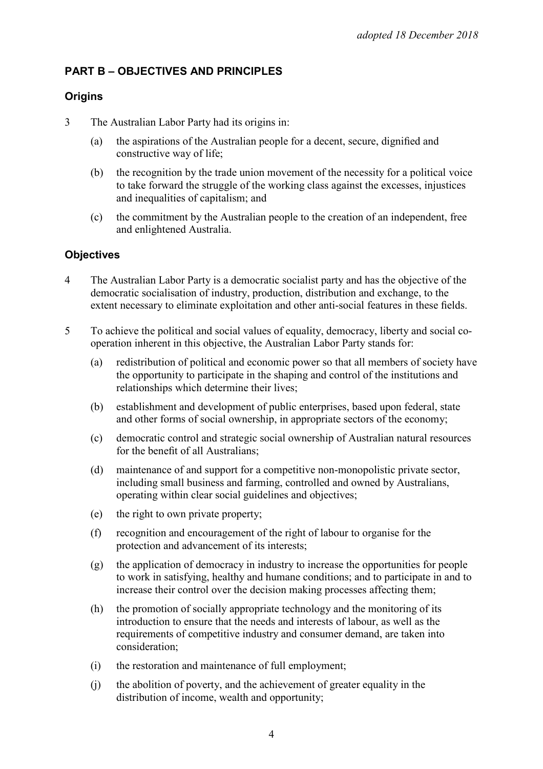# **PART B – OBJECTIVES AND PRINCIPLES**

# **Origins**

- 3 The Australian Labor Party had its origins in:
	- (a) the aspirations of the Australian people for a decent, secure, dignified and constructive way of life;
	- (b) the recognition by the trade union movement of the necessity for a political voice to take forward the struggle of the working class against the excesses, injustices and inequalities of capitalism; and
	- (c) the commitment by the Australian people to the creation of an independent, free and enlightened Australia.

#### **Objectives**

- 4 The Australian Labor Party is a democratic socialist party and has the objective of the democratic socialisation of industry, production, distribution and exchange, to the extent necessary to eliminate exploitation and other anti-social features in these fields.
- 5 To achieve the political and social values of equality, democracy, liberty and social cooperation inherent in this objective, the Australian Labor Party stands for:
	- (a) redistribution of political and economic power so that all members of society have the opportunity to participate in the shaping and control of the institutions and relationships which determine their lives;
	- (b) establishment and development of public enterprises, based upon federal, state and other forms of social ownership, in appropriate sectors of the economy;
	- (c) democratic control and strategic social ownership of Australian natural resources for the benefit of all Australians;
	- (d) maintenance of and support for a competitive non-monopolistic private sector, including small business and farming, controlled and owned by Australians, operating within clear social guidelines and objectives;
	- (e) the right to own private property;
	- (f) recognition and encouragement of the right of labour to organise for the protection and advancement of its interests;
	- (g) the application of democracy in industry to increase the opportunities for people to work in satisfying, healthy and humane conditions; and to participate in and to increase their control over the decision making processes affecting them;
	- (h) the promotion of socially appropriate technology and the monitoring of its introduction to ensure that the needs and interests of labour, as well as the requirements of competitive industry and consumer demand, are taken into consideration;
	- (i) the restoration and maintenance of full employment;
	- (j) the abolition of poverty, and the achievement of greater equality in the distribution of income, wealth and opportunity;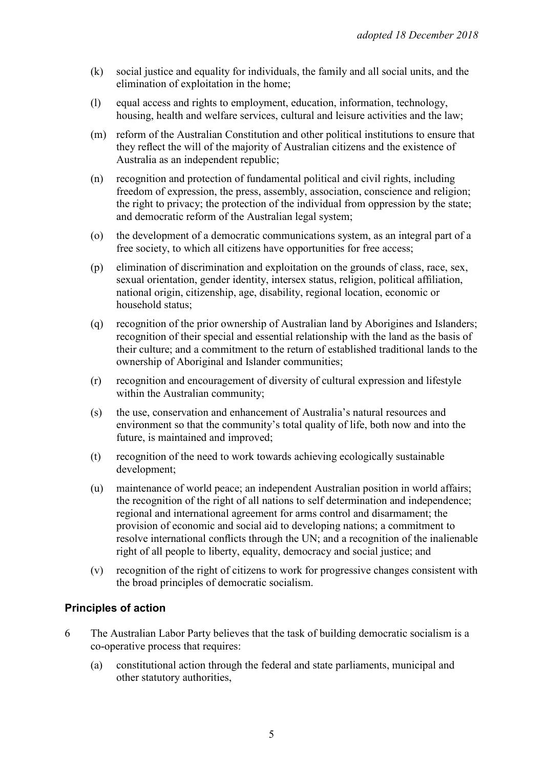- (k) social justice and equality for individuals, the family and all social units, and the elimination of exploitation in the home;
- (l) equal access and rights to employment, education, information, technology, housing, health and welfare services, cultural and leisure activities and the law;
- (m) reform of the Australian Constitution and other political institutions to ensure that they reflect the will of the majority of Australian citizens and the existence of Australia as an independent republic;
- (n) recognition and protection of fundamental political and civil rights, including freedom of expression, the press, assembly, association, conscience and religion; the right to privacy; the protection of the individual from oppression by the state; and democratic reform of the Australian legal system;
- (o) the development of a democratic communications system, as an integral part of a free society, to which all citizens have opportunities for free access;
- (p) elimination of discrimination and exploitation on the grounds of class, race, sex, sexual orientation, gender identity, intersex status, religion, political affiliation, national origin, citizenship, age, disability, regional location, economic or household status;
- (q) recognition of the prior ownership of Australian land by Aborigines and Islanders; recognition of their special and essential relationship with the land as the basis of their culture; and a commitment to the return of established traditional lands to the ownership of Aboriginal and Islander communities;
- (r) recognition and encouragement of diversity of cultural expression and lifestyle within the Australian community;
- (s) the use, conservation and enhancement of Australia's natural resources and environment so that the community's total quality of life, both now and into the future, is maintained and improved;
- (t) recognition of the need to work towards achieving ecologically sustainable development;
- (u) maintenance of world peace; an independent Australian position in world affairs; the recognition of the right of all nations to self determination and independence; regional and international agreement for arms control and disarmament; the provision of economic and social aid to developing nations; a commitment to resolve international conflicts through the UN; and a recognition of the inalienable right of all people to liberty, equality, democracy and social justice; and
- (v) recognition of the right of citizens to work for progressive changes consistent with the broad principles of democratic socialism.

#### **Principles of action**

- 6 The Australian Labor Party believes that the task of building democratic socialism is a co-operative process that requires:
	- (a) constitutional action through the federal and state parliaments, municipal and other statutory authorities,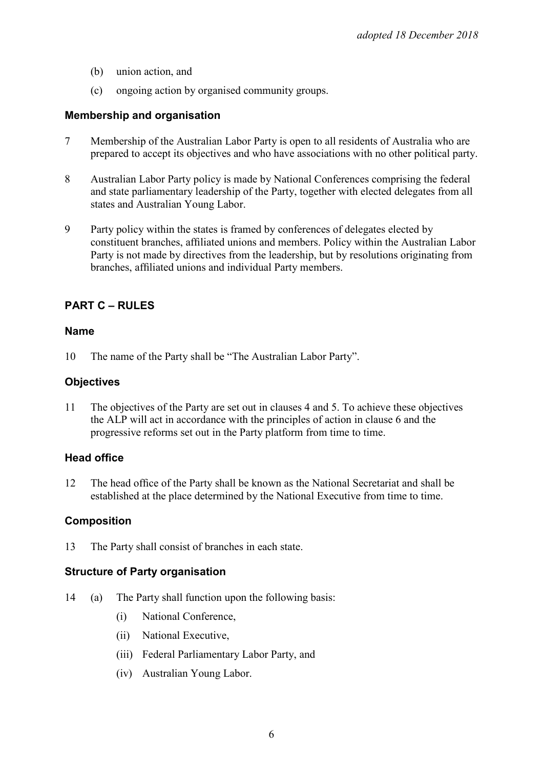- (b) union action, and
- (c) ongoing action by organised community groups.

#### **Membership and organisation**

- 7 Membership of the Australian Labor Party is open to all residents of Australia who are prepared to accept its objectives and who have associations with no other political party.
- 8 Australian Labor Party policy is made by National Conferences comprising the federal and state parliamentary leadership of the Party, together with elected delegates from all states and Australian Young Labor.
- 9 Party policy within the states is framed by conferences of delegates elected by constituent branches, affiliated unions and members. Policy within the Australian Labor Party is not made by directives from the leadership, but by resolutions originating from branches, affiliated unions and individual Party members.

## **PART C – RULES**

#### **Name**

10 The name of the Party shall be "The Australian Labor Party".

#### **Objectives**

11 The objectives of the Party are set out in clauses 4 and 5. To achieve these objectives the ALP will act in accordance with the principles of action in clause 6 and the progressive reforms set out in the Party platform from time to time.

#### **Head office**

12 The head office of the Party shall be known as the National Secretariat and shall be established at the place determined by the National Executive from time to time.

#### **Composition**

13 The Party shall consist of branches in each state.

#### **Structure of Party organisation**

- 14 (a) The Party shall function upon the following basis:
	- (i) National Conference,
	- (ii) National Executive,
	- (iii) Federal Parliamentary Labor Party, and
	- (iv) Australian Young Labor.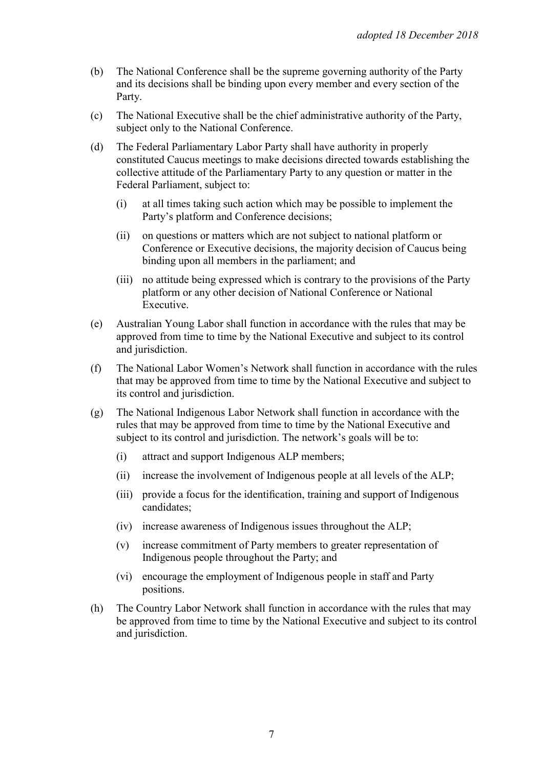- (b) The National Conference shall be the supreme governing authority of the Party and its decisions shall be binding upon every member and every section of the Party.
- (c) The National Executive shall be the chief administrative authority of the Party, subject only to the National Conference.
- (d) The Federal Parliamentary Labor Party shall have authority in properly constituted Caucus meetings to make decisions directed towards establishing the collective attitude of the Parliamentary Party to any question or matter in the Federal Parliament, subject to:
	- (i) at all times taking such action which may be possible to implement the Party's platform and Conference decisions;
	- (ii) on questions or matters which are not subject to national platform or Conference or Executive decisions, the majority decision of Caucus being binding upon all members in the parliament; and
	- (iii) no attitude being expressed which is contrary to the provisions of the Party platform or any other decision of National Conference or National Executive.
- (e) Australian Young Labor shall function in accordance with the rules that may be approved from time to time by the National Executive and subject to its control and jurisdiction.
- (f) The National Labor Women's Network shall function in accordance with the rules that may be approved from time to time by the National Executive and subject to its control and jurisdiction.
- (g) The National Indigenous Labor Network shall function in accordance with the rules that may be approved from time to time by the National Executive and subject to its control and jurisdiction. The network's goals will be to:
	- (i) attract and support Indigenous ALP members;
	- (ii) increase the involvement of Indigenous people at all levels of the ALP;
	- (iii) provide a focus for the identification, training and support of Indigenous candidates;
	- (iv) increase awareness of Indigenous issues throughout the ALP;
	- (v) increase commitment of Party members to greater representation of Indigenous people throughout the Party; and
	- (vi) encourage the employment of Indigenous people in staff and Party positions.
- (h) The Country Labor Network shall function in accordance with the rules that may be approved from time to time by the National Executive and subject to its control and jurisdiction.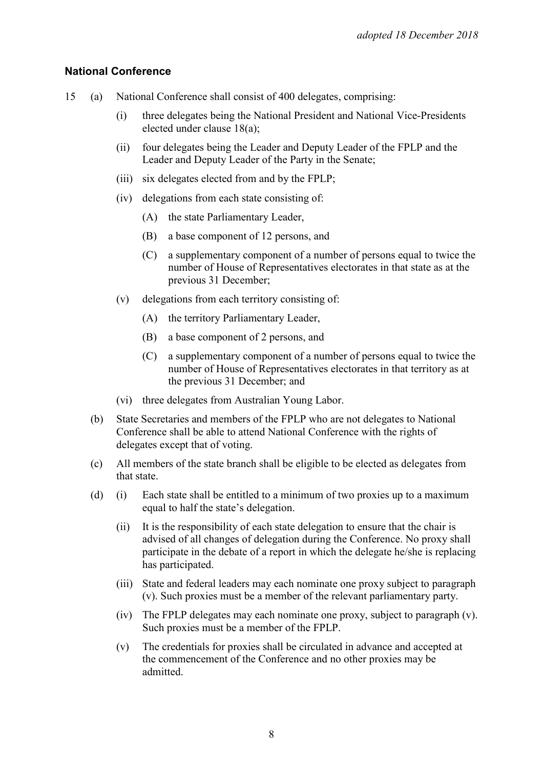#### **National Conference**

- 15 (a) National Conference shall consist of 400 delegates, comprising:
	- (i) three delegates being the National President and National Vice-Presidents elected under clause 18(a);
	- (ii) four delegates being the Leader and Deputy Leader of the FPLP and the Leader and Deputy Leader of the Party in the Senate;
	- (iii) six delegates elected from and by the FPLP;
	- (iv) delegations from each state consisting of:
		- (A) the state Parliamentary Leader,
		- (B) a base component of 12 persons, and
		- (C) a supplementary component of a number of persons equal to twice the number of House of Representatives electorates in that state as at the previous 31 December;
	- (v) delegations from each territory consisting of:
		- (A) the territory Parliamentary Leader,
		- (B) a base component of 2 persons, and
		- (C) a supplementary component of a number of persons equal to twice the number of House of Representatives electorates in that territory as at the previous 31 December; and
	- (vi) three delegates from Australian Young Labor.
	- (b) State Secretaries and members of the FPLP who are not delegates to National Conference shall be able to attend National Conference with the rights of delegates except that of voting.
	- (c) All members of the state branch shall be eligible to be elected as delegates from that state.
	- (d) (i) Each state shall be entitled to a minimum of two proxies up to a maximum equal to half the state's delegation.
		- (ii) It is the responsibility of each state delegation to ensure that the chair is advised of all changes of delegation during the Conference. No proxy shall participate in the debate of a report in which the delegate he/she is replacing has participated.
		- (iii) State and federal leaders may each nominate one proxy subject to paragraph (v). Such proxies must be a member of the relevant parliamentary party.
		- (iv) The FPLP delegates may each nominate one proxy, subject to paragraph (v). Such proxies must be a member of the FPLP.
		- (v) The credentials for proxies shall be circulated in advance and accepted at the commencement of the Conference and no other proxies may be admitted.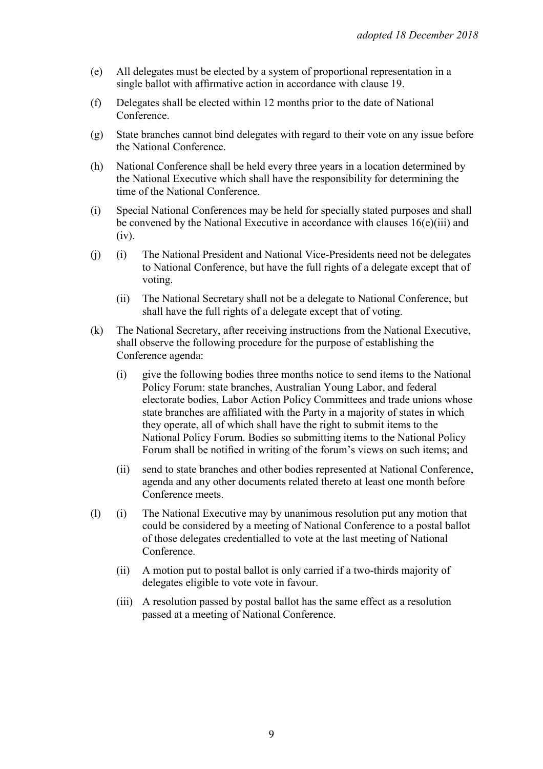- (e) All delegates must be elected by a system of proportional representation in a single ballot with affirmative action in accordance with clause 19.
- (f) Delegates shall be elected within 12 months prior to the date of National Conference.
- (g) State branches cannot bind delegates with regard to their vote on any issue before the National Conference.
- (h) National Conference shall be held every three years in a location determined by the National Executive which shall have the responsibility for determining the time of the National Conference.
- (i) Special National Conferences may be held for specially stated purposes and shall be convened by the National Executive in accordance with clauses 16(e)(iii) and (iv).
- (j) (i) The National President and National Vice-Presidents need not be delegates to National Conference, but have the full rights of a delegate except that of voting.
	- (ii) The National Secretary shall not be a delegate to National Conference, but shall have the full rights of a delegate except that of voting.
- (k) The National Secretary, after receiving instructions from the National Executive, shall observe the following procedure for the purpose of establishing the Conference agenda:
	- (i) give the following bodies three months notice to send items to the National Policy Forum: state branches, Australian Young Labor, and federal electorate bodies, Labor Action Policy Committees and trade unions whose state branches are affiliated with the Party in a majority of states in which they operate, all of which shall have the right to submit items to the National Policy Forum. Bodies so submitting items to the National Policy Forum shall be notified in writing of the forum's views on such items; and
	- (ii) send to state branches and other bodies represented at National Conference, agenda and any other documents related thereto at least one month before Conference meets.
- (l) (i) The National Executive may by unanimous resolution put any motion that could be considered by a meeting of National Conference to a postal ballot of those delegates credentialled to vote at the last meeting of National Conference.
	- (ii) A motion put to postal ballot is only carried if a two-thirds majority of delegates eligible to vote vote in favour.
	- (iii) A resolution passed by postal ballot has the same effect as a resolution passed at a meeting of National Conference.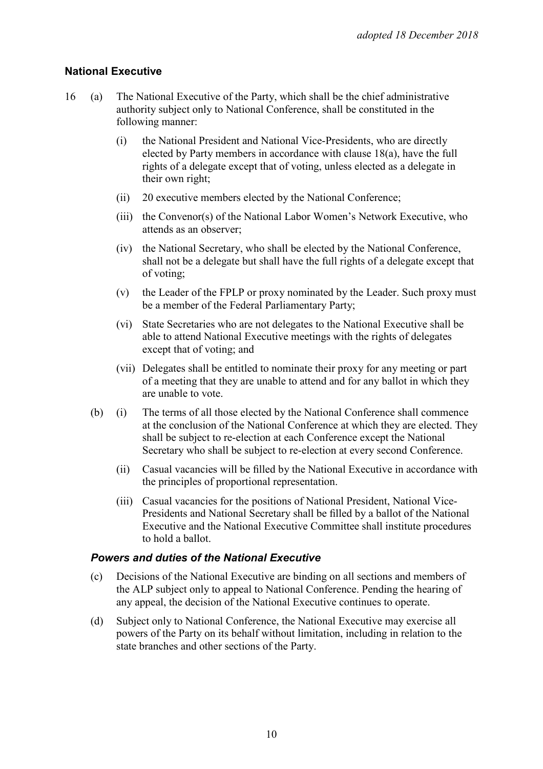## **National Executive**

- 16 (a) The National Executive of the Party, which shall be the chief administrative authority subject only to National Conference, shall be constituted in the following manner:
	- (i) the National President and National Vice-Presidents, who are directly elected by Party members in accordance with clause 18(a), have the full rights of a delegate except that of voting, unless elected as a delegate in their own right;
	- (ii) 20 executive members elected by the National Conference;
	- (iii) the Convenor(s) of the National Labor Women's Network Executive, who attends as an observer;
	- (iv) the National Secretary, who shall be elected by the National Conference, shall not be a delegate but shall have the full rights of a delegate except that of voting;
	- (v) the Leader of the FPLP or proxy nominated by the Leader. Such proxy must be a member of the Federal Parliamentary Party;
	- (vi) State Secretaries who are not delegates to the National Executive shall be able to attend National Executive meetings with the rights of delegates except that of voting; and
	- (vii) Delegates shall be entitled to nominate their proxy for any meeting or part of a meeting that they are unable to attend and for any ballot in which they are unable to vote.
	- (b) (i) The terms of all those elected by the National Conference shall commence at the conclusion of the National Conference at which they are elected. They shall be subject to re-election at each Conference except the National Secretary who shall be subject to re-election at every second Conference.
		- (ii) Casual vacancies will be filled by the National Executive in accordance with the principles of proportional representation.
		- (iii) Casual vacancies for the positions of National President, National Vice-Presidents and National Secretary shall be filled by a ballot of the National Executive and the National Executive Committee shall institute procedures to hold a ballot.

#### *Powers and duties of the National Executive*

- (c) Decisions of the National Executive are binding on all sections and members of the ALP subject only to appeal to National Conference. Pending the hearing of any appeal, the decision of the National Executive continues to operate.
- (d) Subject only to National Conference, the National Executive may exercise all powers of the Party on its behalf without limitation, including in relation to the state branches and other sections of the Party.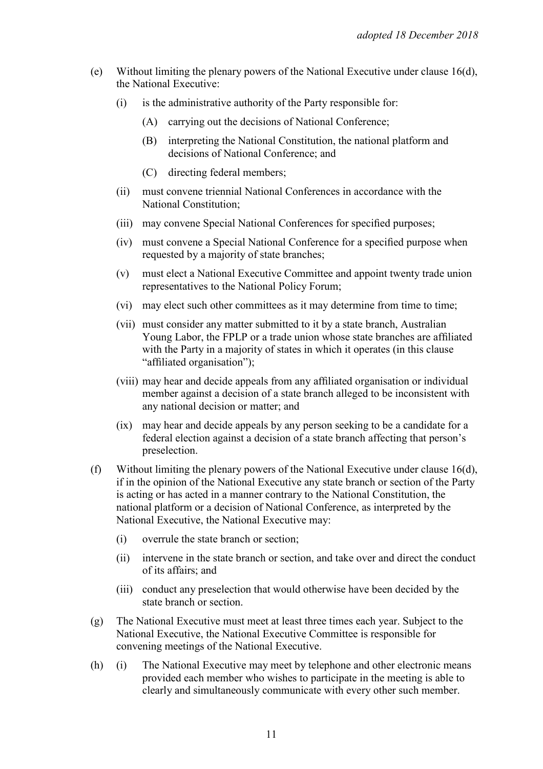- (e) Without limiting the plenary powers of the National Executive under clause 16(d), the National Executive:
	- (i) is the administrative authority of the Party responsible for:
		- (A) carrying out the decisions of National Conference;
		- (B) interpreting the National Constitution, the national platform and decisions of National Conference; and
		- (C) directing federal members;
	- (ii) must convene triennial National Conferences in accordance with the National Constitution;
	- (iii) may convene Special National Conferences for specified purposes;
	- (iv) must convene a Special National Conference for a specified purpose when requested by a majority of state branches;
	- (v) must elect a National Executive Committee and appoint twenty trade union representatives to the National Policy Forum;
	- (vi) may elect such other committees as it may determine from time to time;
	- (vii) must consider any matter submitted to it by a state branch, Australian Young Labor, the FPLP or a trade union whose state branches are affiliated with the Party in a majority of states in which it operates (in this clause "affiliated organisation");
	- (viii) may hear and decide appeals from any affiliated organisation or individual member against a decision of a state branch alleged to be inconsistent with any national decision or matter; and
	- (ix) may hear and decide appeals by any person seeking to be a candidate for a federal election against a decision of a state branch affecting that person's preselection.
- (f) Without limiting the plenary powers of the National Executive under clause 16(d), if in the opinion of the National Executive any state branch or section of the Party is acting or has acted in a manner contrary to the National Constitution, the national platform or a decision of National Conference, as interpreted by the National Executive, the National Executive may:
	- (i) overrule the state branch or section;
	- (ii) intervene in the state branch or section, and take over and direct the conduct of its affairs; and
	- (iii) conduct any preselection that would otherwise have been decided by the state branch or section.
- (g) The National Executive must meet at least three times each year. Subject to the National Executive, the National Executive Committee is responsible for convening meetings of the National Executive.
- (h) (i) The National Executive may meet by telephone and other electronic means provided each member who wishes to participate in the meeting is able to clearly and simultaneously communicate with every other such member.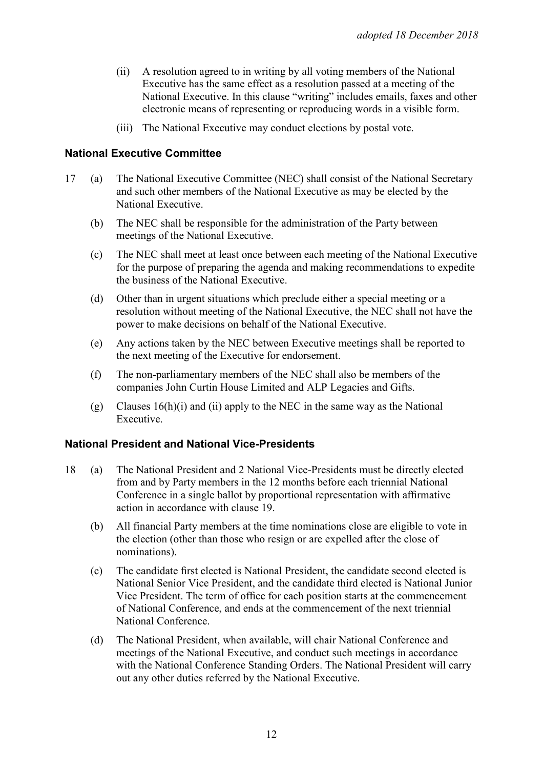- (ii) A resolution agreed to in writing by all voting members of the National Executive has the same effect as a resolution passed at a meeting of the National Executive. In this clause "writing" includes emails, faxes and other electronic means of representing or reproducing words in a visible form.
- (iii) The National Executive may conduct elections by postal vote.

#### **National Executive Committee**

- 17 (a) The National Executive Committee (NEC) shall consist of the National Secretary and such other members of the National Executive as may be elected by the National Executive.
	- (b) The NEC shall be responsible for the administration of the Party between meetings of the National Executive.
	- (c) The NEC shall meet at least once between each meeting of the National Executive for the purpose of preparing the agenda and making recommendations to expedite the business of the National Executive.
	- (d) Other than in urgent situations which preclude either a special meeting or a resolution without meeting of the National Executive, the NEC shall not have the power to make decisions on behalf of the National Executive.
	- (e) Any actions taken by the NEC between Executive meetings shall be reported to the next meeting of the Executive for endorsement.
	- (f) The non-parliamentary members of the NEC shall also be members of the companies John Curtin House Limited and ALP Legacies and Gifts.
	- (g) Clauses 16(h)(i) and (ii) apply to the NEC in the same way as the National Executive.

#### **National President and National Vice-Presidents**

- 18 (a) The National President and 2 National Vice-Presidents must be directly elected from and by Party members in the 12 months before each triennial National Conference in a single ballot by proportional representation with affirmative action in accordance with clause 19.
	- (b) All financial Party members at the time nominations close are eligible to vote in the election (other than those who resign or are expelled after the close of nominations).
	- (c) The candidate first elected is National President, the candidate second elected is National Senior Vice President, and the candidate third elected is National Junior Vice President. The term of office for each position starts at the commencement of National Conference, and ends at the commencement of the next triennial National Conference.
	- (d) The National President, when available, will chair National Conference and meetings of the National Executive, and conduct such meetings in accordance with the National Conference Standing Orders. The National President will carry out any other duties referred by the National Executive.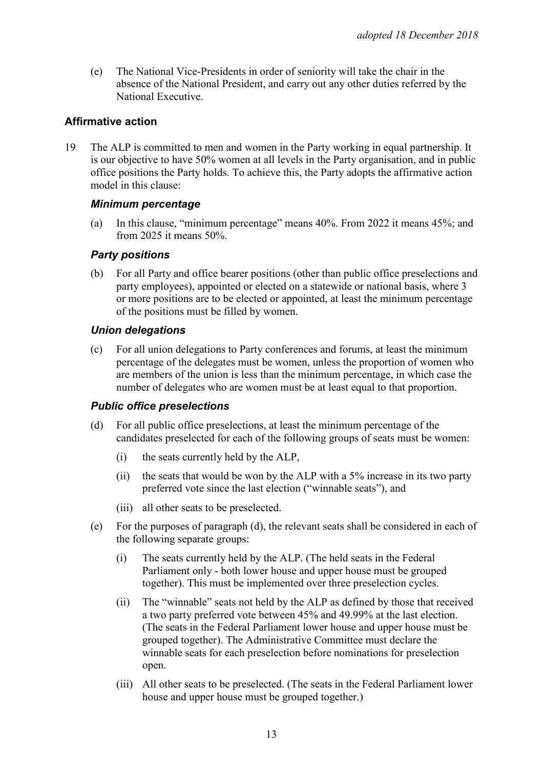(e) The National Vice-Presidents in order of seniority will take the chair in the absence of the National President, and carry out any other duties referred by the National Executive.

## **Affirmative action**

19 The ALP is committed to men and women in the Party working in equal partnership. It is our objective to have 50% women at all levels in the Party organisation, and in public office positions the Party holds. To achieve this, the Party adopts the affirmative action model in this clause:

#### *Minimum percentage*

(a) In this clause, "minimum percentage" means 40%. From 2022 it means 45%; and from 2025 it means 50%.

## *Party positions*

(b) For all Party and office bearer positions (other than public office preselections and party employees), appointed or elected on a statewide or national basis, where 3 or more positions are to be elected or appointed, at least the minimum percentage of the positions must be filled by women.

## *Union delegations*

(c) For all union delegations to Party conferences and forums, at least the minimum percentage of the delegates must be women, unless the proportion of women who are members of the union is less than the minimum percentage, in which case the number of delegates who are women must be at least equal to that proportion.

#### *Public office preselections*

- (d) For all public office preselections, at least the minimum percentage of the candidates preselected for each of the following groups of seats must be women:
	- (i) the seats currently held by the ALP,
	- (ii) the seats that would be won by the ALP with a 5% increase in its two party preferred vote since the last election ("winnable seats"), and
	- (iii) all other seats to be preselected.
- (e) For the purposes of paragraph (d), the relevant seats shall be considered in each of the following separate groups:
	- (i) The seats currently held by the ALP. (The held seats in the Federal Parliament only - both lower house and upper house must be grouped together). This must be implemented over three preselection cycles.
	- (ii) The "winnable" seats not held by the ALP as defined by those that received a two party preferred vote between 45% and 49.99% at the last election. (The seats in the Federal Parliament lower house and upper house must be grouped together). The Administrative Committee must declare the winnable seats for each preselection before nominations for preselection open.
	- (iii) All other seats to be preselected. (The seats in the Federal Parliament lower house and upper house must be grouped together.)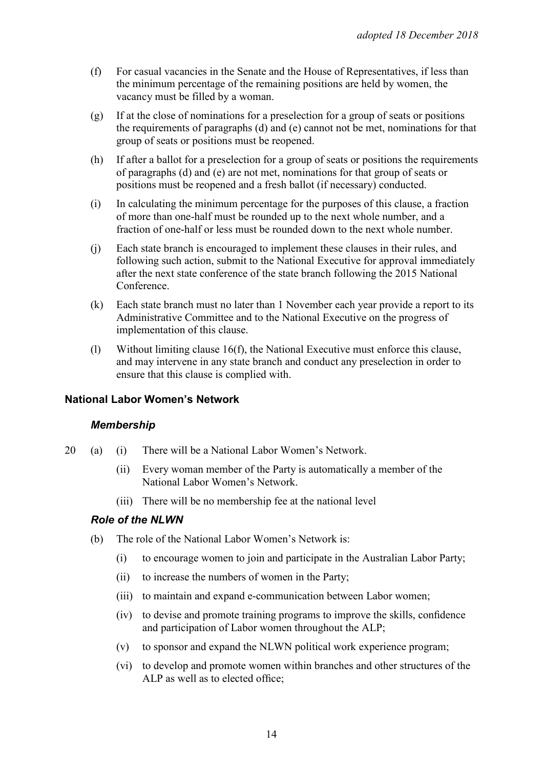- (f) For casual vacancies in the Senate and the House of Representatives, if less than the minimum percentage of the remaining positions are held by women, the vacancy must be filled by a woman.
- (g) If at the close of nominations for a preselection for a group of seats or positions the requirements of paragraphs (d) and (e) cannot not be met, nominations for that group of seats or positions must be reopened.
- (h) If after a ballot for a preselection for a group of seats or positions the requirements of paragraphs (d) and (e) are not met, nominations for that group of seats or positions must be reopened and a fresh ballot (if necessary) conducted.
- (i) In calculating the minimum percentage for the purposes of this clause, a fraction of more than one-half must be rounded up to the next whole number, and a fraction of one-half or less must be rounded down to the next whole number.
- (j) Each state branch is encouraged to implement these clauses in their rules, and following such action, submit to the National Executive for approval immediately after the next state conference of the state branch following the 2015 National Conference.
- (k) Each state branch must no later than 1 November each year provide a report to its Administrative Committee and to the National Executive on the progress of implementation of this clause.
- (l) Without limiting clause 16(f), the National Executive must enforce this clause, and may intervene in any state branch and conduct any preselection in order to ensure that this clause is complied with.

#### **National Labor Women's Network**

#### *Membership*

- 20 (a) (i) There will be a National Labor Women's Network.
	- (ii) Every woman member of the Party is automatically a member of the National Labor Women's Network.
	- (iii) There will be no membership fee at the national level

#### *Role of the NLWN*

- (b) The role of the National Labor Women's Network is:
	- (i) to encourage women to join and participate in the Australian Labor Party;
	- (ii) to increase the numbers of women in the Party;
	- (iii) to maintain and expand e-communication between Labor women;
	- (iv) to devise and promote training programs to improve the skills, confidence and participation of Labor women throughout the ALP;
	- (v) to sponsor and expand the NLWN political work experience program;
	- (vi) to develop and promote women within branches and other structures of the ALP as well as to elected office;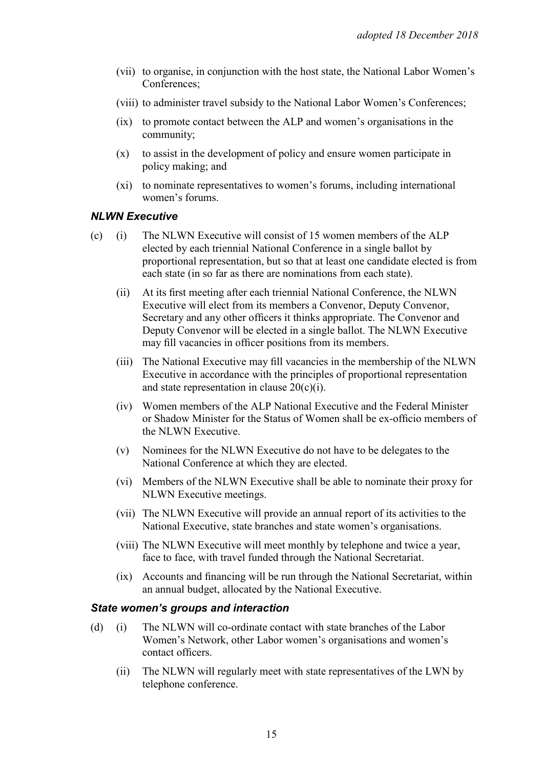- (vii) to organise, in conjunction with the host state, the National Labor Women's Conferences;
- (viii) to administer travel subsidy to the National Labor Women's Conferences;
- (ix) to promote contact between the ALP and women's organisations in the community;
- (x) to assist in the development of policy and ensure women participate in policy making; and
- (xi) to nominate representatives to women's forums, including international women's forums.

#### *NLWN Executive*

- (c) (i) The NLWN Executive will consist of 15 women members of the ALP elected by each triennial National Conference in a single ballot by proportional representation, but so that at least one candidate elected is from each state (in so far as there are nominations from each state).
	- (ii) At its first meeting after each triennial National Conference, the NLWN Executive will elect from its members a Convenor, Deputy Convenor, Secretary and any other officers it thinks appropriate. The Convenor and Deputy Convenor will be elected in a single ballot. The NLWN Executive may fill vacancies in officer positions from its members.
	- (iii) The National Executive may fill vacancies in the membership of the NLWN Executive in accordance with the principles of proportional representation and state representation in clause  $20(c)(i)$ .
	- (iv) Women members of the ALP National Executive and the Federal Minister or Shadow Minister for the Status of Women shall be ex-officio members of the NLWN Executive.
	- (v) Nominees for the NLWN Executive do not have to be delegates to the National Conference at which they are elected.
	- (vi) Members of the NLWN Executive shall be able to nominate their proxy for NLWN Executive meetings.
	- (vii) The NLWN Executive will provide an annual report of its activities to the National Executive, state branches and state women's organisations.
	- (viii) The NLWN Executive will meet monthly by telephone and twice a year, face to face, with travel funded through the National Secretariat.
	- (ix) Accounts and financing will be run through the National Secretariat, within an annual budget, allocated by the National Executive.

#### *State women's groups and interaction*

- (d) (i) The NLWN will co-ordinate contact with state branches of the Labor Women's Network, other Labor women's organisations and women's contact officers.
	- (ii) The NLWN will regularly meet with state representatives of the LWN by telephone conference.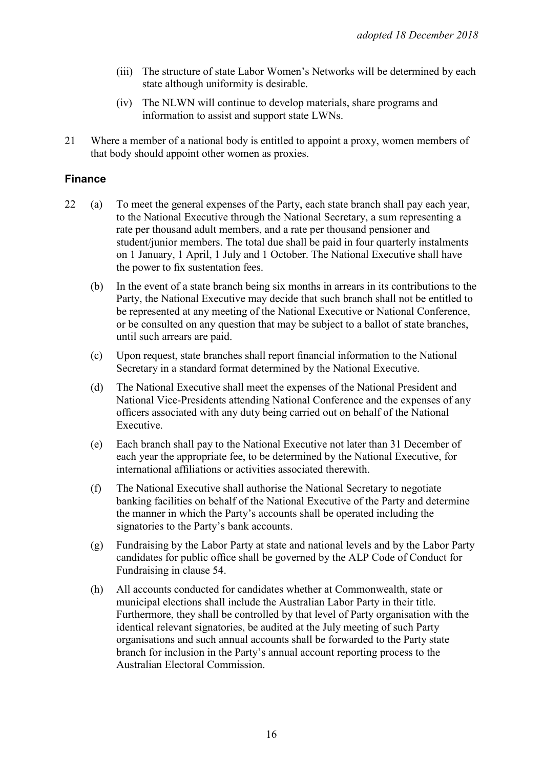- (iii) The structure of state Labor Women's Networks will be determined by each state although uniformity is desirable.
- (iv) The NLWN will continue to develop materials, share programs and information to assist and support state LWNs.
- 21 Where a member of a national body is entitled to appoint a proxy, women members of that body should appoint other women as proxies.

#### **Finance**

- 22 (a) To meet the general expenses of the Party, each state branch shall pay each year, to the National Executive through the National Secretary, a sum representing a rate per thousand adult members, and a rate per thousand pensioner and student/junior members. The total due shall be paid in four quarterly instalments on 1 January, 1 April, 1 July and 1 October. The National Executive shall have the power to fix sustentation fees.
	- (b) In the event of a state branch being six months in arrears in its contributions to the Party, the National Executive may decide that such branch shall not be entitled to be represented at any meeting of the National Executive or National Conference, or be consulted on any question that may be subject to a ballot of state branches, until such arrears are paid.
	- (c) Upon request, state branches shall report financial information to the National Secretary in a standard format determined by the National Executive.
	- (d) The National Executive shall meet the expenses of the National President and National Vice-Presidents attending National Conference and the expenses of any officers associated with any duty being carried out on behalf of the National Executive.
	- (e) Each branch shall pay to the National Executive not later than 31 December of each year the appropriate fee, to be determined by the National Executive, for international affiliations or activities associated therewith.
	- (f) The National Executive shall authorise the National Secretary to negotiate banking facilities on behalf of the National Executive of the Party and determine the manner in which the Party's accounts shall be operated including the signatories to the Party's bank accounts.
	- (g) Fundraising by the Labor Party at state and national levels and by the Labor Party candidates for public office shall be governed by the ALP Code of Conduct for Fundraising in clause 54.
	- (h) All accounts conducted for candidates whether at Commonwealth, state or municipal elections shall include the Australian Labor Party in their title. Furthermore, they shall be controlled by that level of Party organisation with the identical relevant signatories, be audited at the July meeting of such Party organisations and such annual accounts shall be forwarded to the Party state branch for inclusion in the Party's annual account reporting process to the Australian Electoral Commission.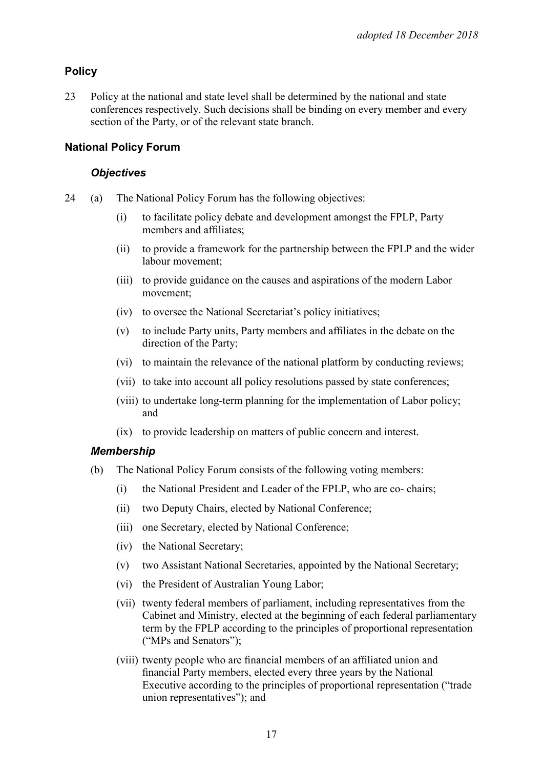# **Policy**

23 Policy at the national and state level shall be determined by the national and state conferences respectively. Such decisions shall be binding on every member and every section of the Party, or of the relevant state branch.

# **National Policy Forum**

#### *Objectives*

- 24 (a) The National Policy Forum has the following objectives:
	- (i) to facilitate policy debate and development amongst the FPLP, Party members and affiliates;
	- (ii) to provide a framework for the partnership between the FPLP and the wider labour movement;
	- (iii) to provide guidance on the causes and aspirations of the modern Labor movement;
	- (iv) to oversee the National Secretariat's policy initiatives;
	- (v) to include Party units, Party members and affiliates in the debate on the direction of the Party;
	- (vi) to maintain the relevance of the national platform by conducting reviews;
	- (vii) to take into account all policy resolutions passed by state conferences;
	- (viii) to undertake long-term planning for the implementation of Labor policy; and
	- (ix) to provide leadership on matters of public concern and interest.

# *Membership*

- (b) The National Policy Forum consists of the following voting members:
	- (i) the National President and Leader of the FPLP, who are co- chairs;
	- (ii) two Deputy Chairs, elected by National Conference;
	- (iii) one Secretary, elected by National Conference;
	- (iv) the National Secretary;
	- (v) two Assistant National Secretaries, appointed by the National Secretary;
	- (vi) the President of Australian Young Labor;
	- (vii) twenty federal members of parliament, including representatives from the Cabinet and Ministry, elected at the beginning of each federal parliamentary term by the FPLP according to the principles of proportional representation ("MPs and Senators");
	- (viii) twenty people who are financial members of an affiliated union and financial Party members, elected every three years by the National Executive according to the principles of proportional representation ("trade union representatives"); and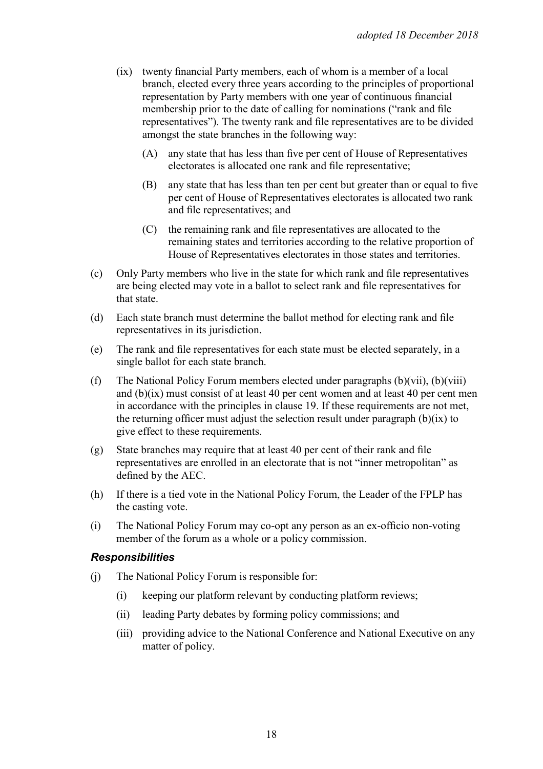- (ix) twenty financial Party members, each of whom is a member of a local branch, elected every three years according to the principles of proportional representation by Party members with one year of continuous financial membership prior to the date of calling for nominations ("rank and file representatives"). The twenty rank and file representatives are to be divided amongst the state branches in the following way:
	- (A) any state that has less than five per cent of House of Representatives electorates is allocated one rank and file representative;
	- (B) any state that has less than ten per cent but greater than or equal to five per cent of House of Representatives electorates is allocated two rank and file representatives; and
	- (C) the remaining rank and file representatives are allocated to the remaining states and territories according to the relative proportion of House of Representatives electorates in those states and territories.
- (c) Only Party members who live in the state for which rank and file representatives are being elected may vote in a ballot to select rank and file representatives for that state.
- (d) Each state branch must determine the ballot method for electing rank and file representatives in its jurisdiction.
- (e) The rank and file representatives for each state must be elected separately, in a single ballot for each state branch.
- (f) The National Policy Forum members elected under paragraphs (b)(vii), (b)(viii) and (b)(ix) must consist of at least 40 per cent women and at least 40 per cent men in accordance with the principles in clause 19. If these requirements are not met, the returning officer must adjust the selection result under paragraph  $(b)(ix)$  to give effect to these requirements.
- (g) State branches may require that at least 40 per cent of their rank and file representatives are enrolled in an electorate that is not "inner metropolitan" as defined by the AEC.
- (h) If there is a tied vote in the National Policy Forum, the Leader of the FPLP has the casting vote.
- (i) The National Policy Forum may co-opt any person as an ex-officio non-voting member of the forum as a whole or a policy commission.

#### *Responsibilities*

- (j) The National Policy Forum is responsible for:
	- (i) keeping our platform relevant by conducting platform reviews;
	- (ii) leading Party debates by forming policy commissions; and
	- (iii) providing advice to the National Conference and National Executive on any matter of policy.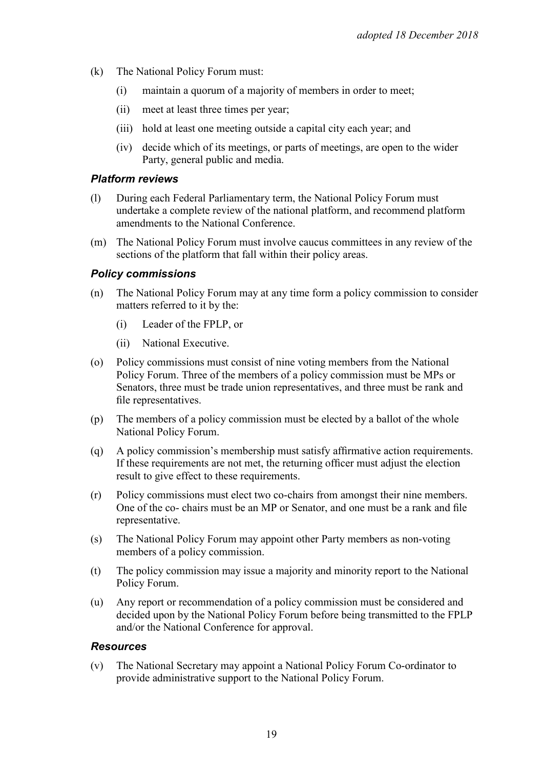- (k) The National Policy Forum must:
	- (i) maintain a quorum of a majority of members in order to meet;
	- (ii) meet at least three times per year;
	- (iii) hold at least one meeting outside a capital city each year; and
	- (iv) decide which of its meetings, or parts of meetings, are open to the wider Party, general public and media.

#### *Platform reviews*

- (l) During each Federal Parliamentary term, the National Policy Forum must undertake a complete review of the national platform, and recommend platform amendments to the National Conference.
- (m) The National Policy Forum must involve caucus committees in any review of the sections of the platform that fall within their policy areas.

#### *Policy commissions*

- (n) The National Policy Forum may at any time form a policy commission to consider matters referred to it by the:
	- (i) Leader of the FPLP, or
	- (ii) National Executive.
- (o) Policy commissions must consist of nine voting members from the National Policy Forum. Three of the members of a policy commission must be MPs or Senators, three must be trade union representatives, and three must be rank and file representatives.
- (p) The members of a policy commission must be elected by a ballot of the whole National Policy Forum.
- (q) A policy commission's membership must satisfy affirmative action requirements. If these requirements are not met, the returning officer must adjust the election result to give effect to these requirements.
- (r) Policy commissions must elect two co-chairs from amongst their nine members. One of the co- chairs must be an MP or Senator, and one must be a rank and file representative.
- (s) The National Policy Forum may appoint other Party members as non-voting members of a policy commission.
- (t) The policy commission may issue a majority and minority report to the National Policy Forum.
- (u) Any report or recommendation of a policy commission must be considered and decided upon by the National Policy Forum before being transmitted to the FPLP and/or the National Conference for approval.

#### *Resources*

(v) The National Secretary may appoint a National Policy Forum Co-ordinator to provide administrative support to the National Policy Forum.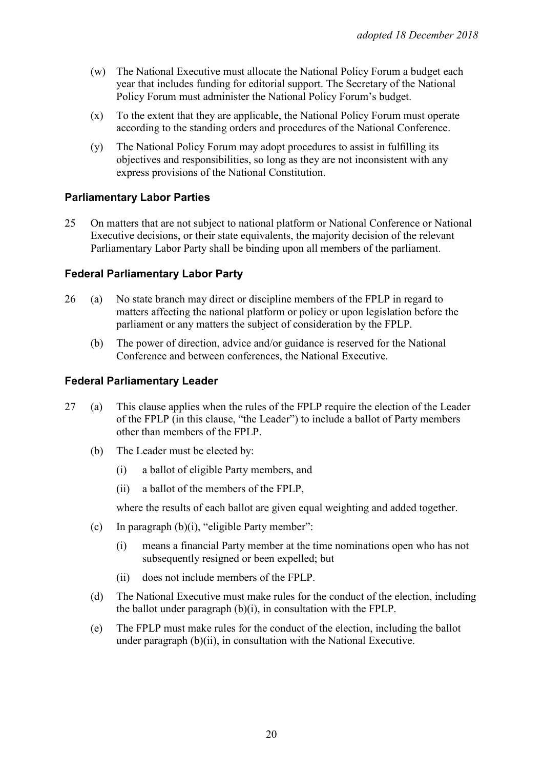- (w) The National Executive must allocate the National Policy Forum a budget each year that includes funding for editorial support. The Secretary of the National Policy Forum must administer the National Policy Forum's budget.
- (x) To the extent that they are applicable, the National Policy Forum must operate according to the standing orders and procedures of the National Conference.
- (y) The National Policy Forum may adopt procedures to assist in fulfilling its objectives and responsibilities, so long as they are not inconsistent with any express provisions of the National Constitution.

#### **Parliamentary Labor Parties**

25 On matters that are not subject to national platform or National Conference or National Executive decisions, or their state equivalents, the majority decision of the relevant Parliamentary Labor Party shall be binding upon all members of the parliament.

## **Federal Parliamentary Labor Party**

- 26 (a) No state branch may direct or discipline members of the FPLP in regard to matters affecting the national platform or policy or upon legislation before the parliament or any matters the subject of consideration by the FPLP.
	- (b) The power of direction, advice and/or guidance is reserved for the National Conference and between conferences, the National Executive.

#### **Federal Parliamentary Leader**

- 27 (a) This clause applies when the rules of the FPLP require the election of the Leader of the FPLP (in this clause, "the Leader") to include a ballot of Party members other than members of the FPLP.
	- (b) The Leader must be elected by:
		- (i) a ballot of eligible Party members, and
		- (ii) a ballot of the members of the FPLP,

where the results of each ballot are given equal weighting and added together.

- (c) In paragraph (b)(i), "eligible Party member":
	- (i) means a financial Party member at the time nominations open who has not subsequently resigned or been expelled; but
	- (ii) does not include members of the FPLP.
- (d) The National Executive must make rules for the conduct of the election, including the ballot under paragraph (b)(i), in consultation with the FPLP.
- (e) The FPLP must make rules for the conduct of the election, including the ballot under paragraph (b)(ii), in consultation with the National Executive.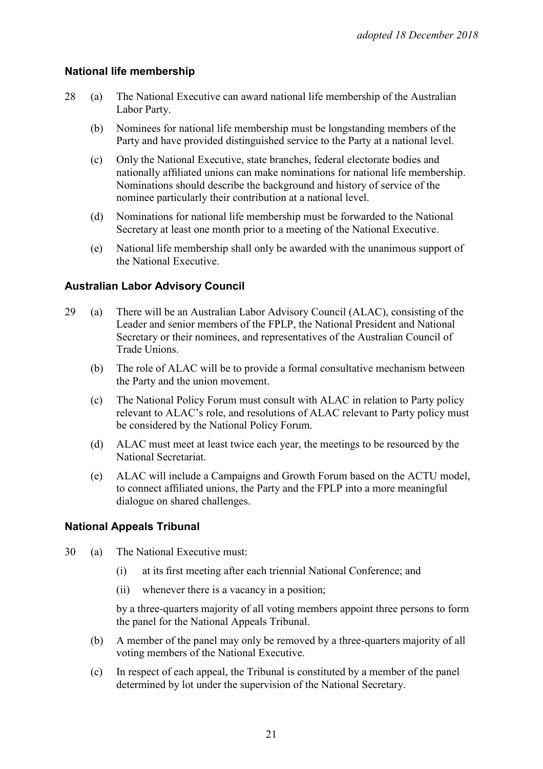#### **National life membership**

- 28 (a) The National Executive can award national life membership of the Australian Labor Party.
	- (b) Nominees for national life membership must be longstanding members of the Party and have provided distinguished service to the Party at a national level.
	- (c) Only the National Executive, state branches, federal electorate bodies and nationally affiliated unions can make nominations for national life membership. Nominations should describe the background and history of service of the nominee particularly their contribution at a national level.
	- (d) Nominations for national life membership must be forwarded to the National Secretary at least one month prior to a meeting of the National Executive.
	- (e) National life membership shall only be awarded with the unanimous support of the National Executive.

## **Australian Labor Advisory Council**

- 29 (a) There will be an Australian Labor Advisory Council (ALAC), consisting of the Leader and senior members of the FPLP, the National President and National Secretary or their nominees, and representatives of the Australian Council of Trade Unions.
	- (b) The role of ALAC will be to provide a formal consultative mechanism between the Party and the union movement.
	- (c) The National Policy Forum must consult with ALAC in relation to Party policy relevant to ALAC's role, and resolutions of ALAC relevant to Party policy must be considered by the National Policy Forum.
	- (d) ALAC must meet at least twice each year, the meetings to be resourced by the National Secretariat.
	- (e) ALAC will include a Campaigns and Growth Forum based on the ACTU model, to connect affiliated unions, the Party and the FPLP into a more meaningful dialogue on shared challenges.

#### **National Appeals Tribunal**

- 30 (a) The National Executive must:
	- (i) at its first meeting after each triennial National Conference; and
	- (ii) whenever there is a vacancy in a position;

by a three-quarters majority of all voting members appoint three persons to form the panel for the National Appeals Tribunal.

- (b) A member of the panel may only be removed by a three-quarters majority of all voting members of the National Executive.
- (c) In respect of each appeal, the Tribunal is constituted by a member of the panel determined by lot under the supervision of the National Secretary.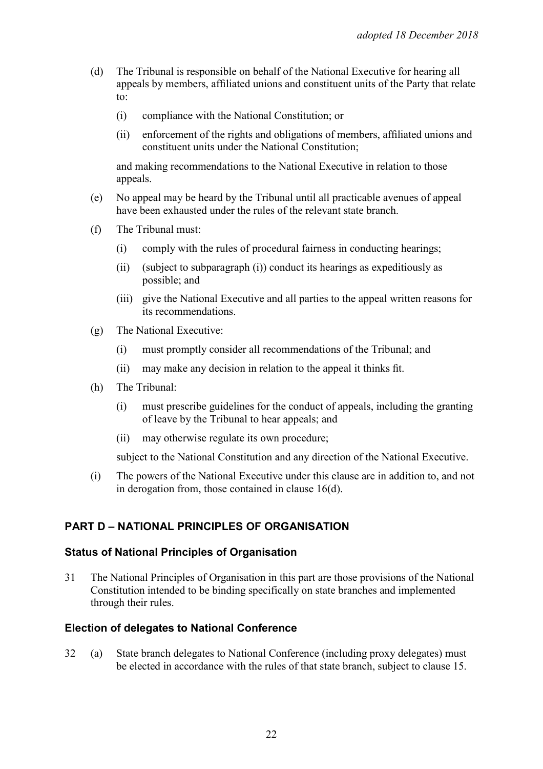- (d) The Tribunal is responsible on behalf of the National Executive for hearing all appeals by members, affiliated unions and constituent units of the Party that relate to:
	- (i) compliance with the National Constitution; or
	- (ii) enforcement of the rights and obligations of members, affiliated unions and constituent units under the National Constitution;

and making recommendations to the National Executive in relation to those appeals.

- (e) No appeal may be heard by the Tribunal until all practicable avenues of appeal have been exhausted under the rules of the relevant state branch.
- (f) The Tribunal must:
	- (i) comply with the rules of procedural fairness in conducting hearings;
	- (ii) (subject to subparagraph (i)) conduct its hearings as expeditiously as possible; and
	- (iii) give the National Executive and all parties to the appeal written reasons for its recommendations.
- (g) The National Executive:
	- (i) must promptly consider all recommendations of the Tribunal; and
	- (ii) may make any decision in relation to the appeal it thinks fit.
- (h) The Tribunal:
	- (i) must prescribe guidelines for the conduct of appeals, including the granting of leave by the Tribunal to hear appeals; and
	- (ii) may otherwise regulate its own procedure;

subject to the National Constitution and any direction of the National Executive.

(i) The powers of the National Executive under this clause are in addition to, and not in derogation from, those contained in clause 16(d).

#### **PART D – NATIONAL PRINCIPLES OF ORGANISATION**

#### **Status of National Principles of Organisation**

31 The National Principles of Organisation in this part are those provisions of the National Constitution intended to be binding specifically on state branches and implemented through their rules.

#### **Election of delegates to National Conference**

32 (a) State branch delegates to National Conference (including proxy delegates) must be elected in accordance with the rules of that state branch, subject to clause 15.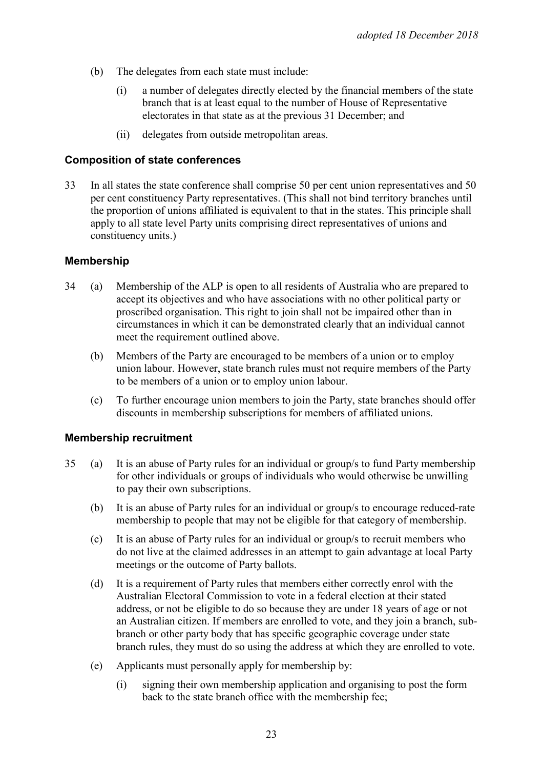- (b) The delegates from each state must include:
	- (i) a number of delegates directly elected by the financial members of the state branch that is at least equal to the number of House of Representative electorates in that state as at the previous 31 December; and
	- (ii) delegates from outside metropolitan areas.

#### **Composition of state conferences**

33 In all states the state conference shall comprise 50 per cent union representatives and 50 per cent constituency Party representatives. (This shall not bind territory branches until the proportion of unions affiliated is equivalent to that in the states. This principle shall apply to all state level Party units comprising direct representatives of unions and constituency units.)

#### **Membership**

- 34 (a) Membership of the ALP is open to all residents of Australia who are prepared to accept its objectives and who have associations with no other political party or proscribed organisation. This right to join shall not be impaired other than in circumstances in which it can be demonstrated clearly that an individual cannot meet the requirement outlined above.
	- (b) Members of the Party are encouraged to be members of a union or to employ union labour. However, state branch rules must not require members of the Party to be members of a union or to employ union labour.
	- (c) To further encourage union members to join the Party, state branches should offer discounts in membership subscriptions for members of affiliated unions.

#### **Membership recruitment**

- 35 (a) It is an abuse of Party rules for an individual or group/s to fund Party membership for other individuals or groups of individuals who would otherwise be unwilling to pay their own subscriptions.
	- (b) It is an abuse of Party rules for an individual or group/s to encourage reduced-rate membership to people that may not be eligible for that category of membership.
	- (c) It is an abuse of Party rules for an individual or group/s to recruit members who do not live at the claimed addresses in an attempt to gain advantage at local Party meetings or the outcome of Party ballots.
	- (d) It is a requirement of Party rules that members either correctly enrol with the Australian Electoral Commission to vote in a federal election at their stated address, or not be eligible to do so because they are under 18 years of age or not an Australian citizen. If members are enrolled to vote, and they join a branch, subbranch or other party body that has specific geographic coverage under state branch rules, they must do so using the address at which they are enrolled to vote.
	- (e) Applicants must personally apply for membership by:
		- (i) signing their own membership application and organising to post the form back to the state branch office with the membership fee;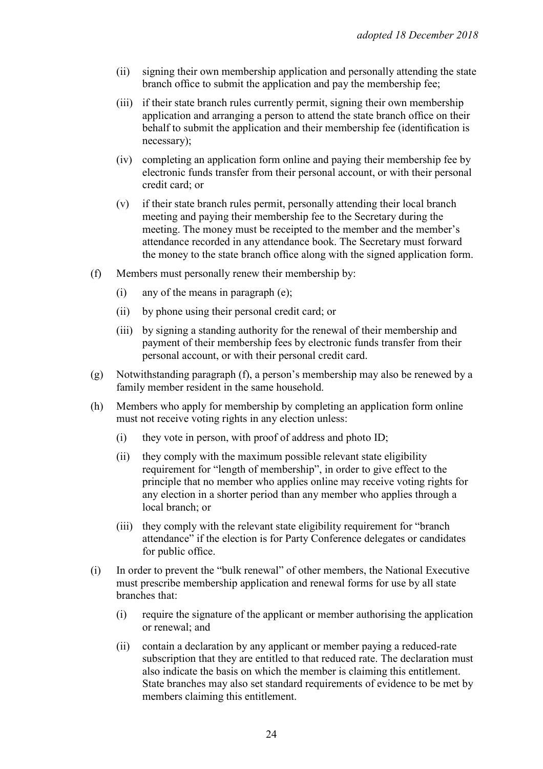- (ii) signing their own membership application and personally attending the state branch office to submit the application and pay the membership fee;
- (iii) if their state branch rules currently permit, signing their own membership application and arranging a person to attend the state branch office on their behalf to submit the application and their membership fee (identification is necessary);
- (iv) completing an application form online and paying their membership fee by electronic funds transfer from their personal account, or with their personal credit card; or
- (v) if their state branch rules permit, personally attending their local branch meeting and paying their membership fee to the Secretary during the meeting. The money must be receipted to the member and the member's attendance recorded in any attendance book. The Secretary must forward the money to the state branch office along with the signed application form.
- (f) Members must personally renew their membership by:
	- (i) any of the means in paragraph (e);
	- (ii) by phone using their personal credit card; or
	- (iii) by signing a standing authority for the renewal of their membership and payment of their membership fees by electronic funds transfer from their personal account, or with their personal credit card.
- (g) Notwithstanding paragraph (f), a person's membership may also be renewed by a family member resident in the same household.
- (h) Members who apply for membership by completing an application form online must not receive voting rights in any election unless:
	- (i) they vote in person, with proof of address and photo ID;
	- (ii) they comply with the maximum possible relevant state eligibility requirement for "length of membership", in order to give effect to the principle that no member who applies online may receive voting rights for any election in a shorter period than any member who applies through a local branch; or
	- (iii) they comply with the relevant state eligibility requirement for "branch attendance" if the election is for Party Conference delegates or candidates for public office.
- (i) In order to prevent the "bulk renewal" of other members, the National Executive must prescribe membership application and renewal forms for use by all state branches that:
	- (i) require the signature of the applicant or member authorising the application or renewal; and
	- (ii) contain a declaration by any applicant or member paying a reduced-rate subscription that they are entitled to that reduced rate. The declaration must also indicate the basis on which the member is claiming this entitlement. State branches may also set standard requirements of evidence to be met by members claiming this entitlement.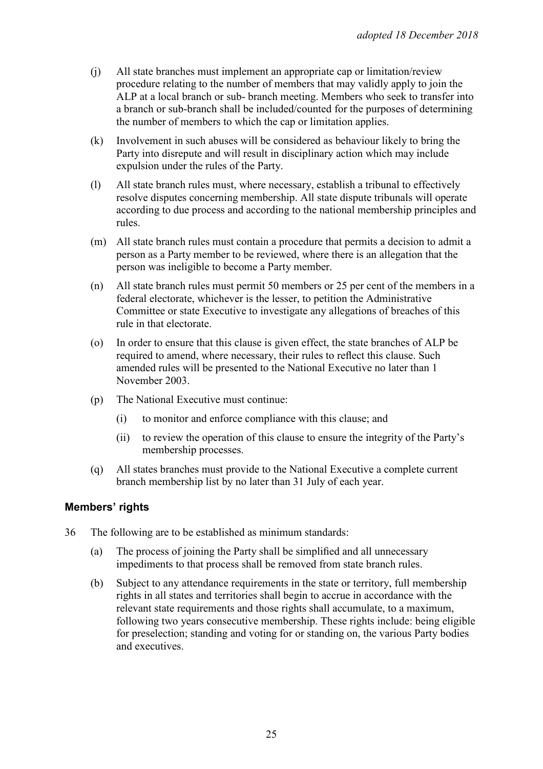- (j) All state branches must implement an appropriate cap or limitation/review procedure relating to the number of members that may validly apply to join the ALP at a local branch or sub- branch meeting. Members who seek to transfer into a branch or sub-branch shall be included/counted for the purposes of determining the number of members to which the cap or limitation applies.
- (k) Involvement in such abuses will be considered as behaviour likely to bring the Party into disrepute and will result in disciplinary action which may include expulsion under the rules of the Party.
- (l) All state branch rules must, where necessary, establish a tribunal to effectively resolve disputes concerning membership. All state dispute tribunals will operate according to due process and according to the national membership principles and rules.
- (m) All state branch rules must contain a procedure that permits a decision to admit a person as a Party member to be reviewed, where there is an allegation that the person was ineligible to become a Party member.
- (n) All state branch rules must permit 50 members or 25 per cent of the members in a federal electorate, whichever is the lesser, to petition the Administrative Committee or state Executive to investigate any allegations of breaches of this rule in that electorate.
- (o) In order to ensure that this clause is given effect, the state branches of ALP be required to amend, where necessary, their rules to reflect this clause. Such amended rules will be presented to the National Executive no later than 1 November 2003.
- (p) The National Executive must continue:
	- (i) to monitor and enforce compliance with this clause; and
	- (ii) to review the operation of this clause to ensure the integrity of the Party's membership processes.
- (q) All states branches must provide to the National Executive a complete current branch membership list by no later than 31 July of each year.

#### **Members' rights**

- 36 The following are to be established as minimum standards:
	- (a) The process of joining the Party shall be simplified and all unnecessary impediments to that process shall be removed from state branch rules.
	- (b) Subject to any attendance requirements in the state or territory, full membership rights in all states and territories shall begin to accrue in accordance with the relevant state requirements and those rights shall accumulate, to a maximum, following two years consecutive membership. These rights include: being eligible for preselection; standing and voting for or standing on, the various Party bodies and executives.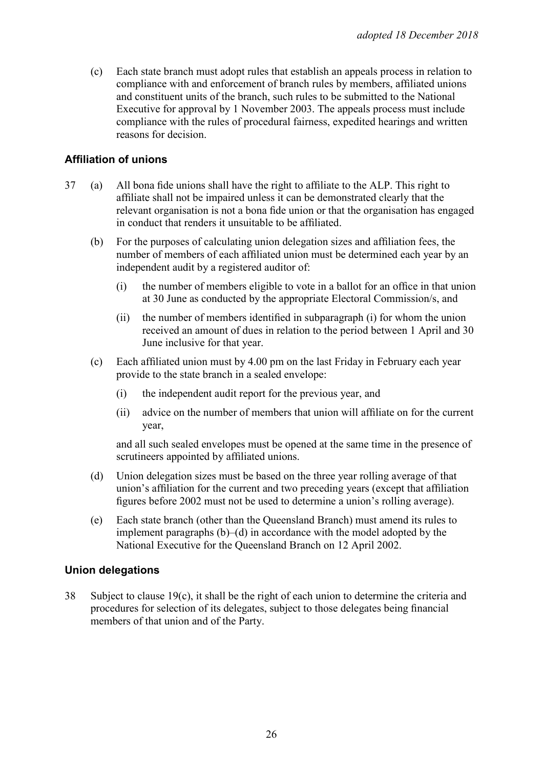(c) Each state branch must adopt rules that establish an appeals process in relation to compliance with and enforcement of branch rules by members, affiliated unions and constituent units of the branch, such rules to be submitted to the National Executive for approval by 1 November 2003. The appeals process must include compliance with the rules of procedural fairness, expedited hearings and written reasons for decision.

# **Affiliation of unions**

- 37 (a) All bona fide unions shall have the right to affiliate to the ALP. This right to affiliate shall not be impaired unless it can be demonstrated clearly that the relevant organisation is not a bona fide union or that the organisation has engaged in conduct that renders it unsuitable to be affiliated.
	- (b) For the purposes of calculating union delegation sizes and affiliation fees, the number of members of each affiliated union must be determined each year by an independent audit by a registered auditor of:
		- (i) the number of members eligible to vote in a ballot for an office in that union at 30 June as conducted by the appropriate Electoral Commission/s, and
		- (ii) the number of members identified in subparagraph (i) for whom the union received an amount of dues in relation to the period between 1 April and 30 June inclusive for that year.
	- (c) Each affiliated union must by 4.00 pm on the last Friday in February each year provide to the state branch in a sealed envelope:
		- (i) the independent audit report for the previous year, and
		- (ii) advice on the number of members that union will affiliate on for the current year,

and all such sealed envelopes must be opened at the same time in the presence of scrutineers appointed by affiliated unions.

- (d) Union delegation sizes must be based on the three year rolling average of that union's affiliation for the current and two preceding years (except that affiliation figures before 2002 must not be used to determine a union's rolling average).
- (e) Each state branch (other than the Queensland Branch) must amend its rules to implement paragraphs  $(b)$ –(d) in accordance with the model adopted by the National Executive for the Queensland Branch on 12 April 2002.

#### **Union delegations**

38 Subject to clause 19(c), it shall be the right of each union to determine the criteria and procedures for selection of its delegates, subject to those delegates being financial members of that union and of the Party.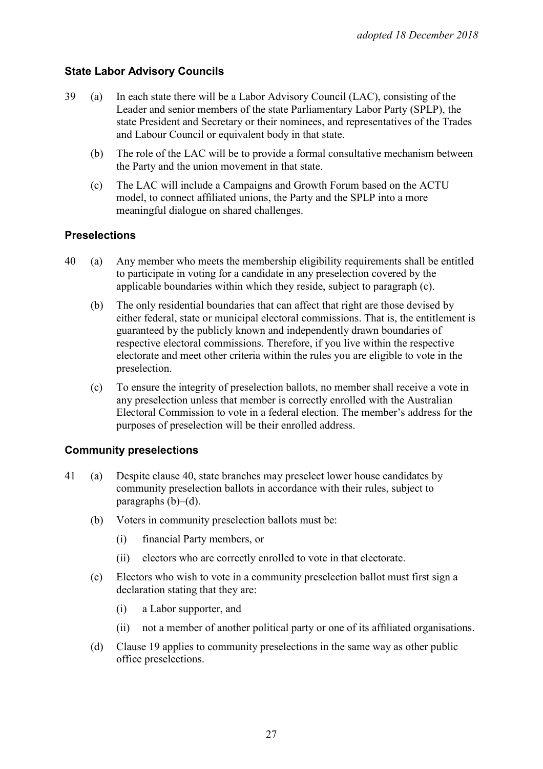# **State Labor Advisory Councils**

- 39 (a) In each state there will be a Labor Advisory Council (LAC), consisting of the Leader and senior members of the state Parliamentary Labor Party (SPLP), the state President and Secretary or their nominees, and representatives of the Trades and Labour Council or equivalent body in that state.
	- (b) The role of the LAC will be to provide a formal consultative mechanism between the Party and the union movement in that state.
	- (c) The LAC will include a Campaigns and Growth Forum based on the ACTU model, to connect affiliated unions, the Party and the SPLP into a more meaningful dialogue on shared challenges.

#### **Preselections**

- 40 (a) Any member who meets the membership eligibility requirements shall be entitled to participate in voting for a candidate in any preselection covered by the applicable boundaries within which they reside, subject to paragraph (c).
	- (b) The only residential boundaries that can affect that right are those devised by either federal, state or municipal electoral commissions. That is, the entitlement is guaranteed by the publicly known and independently drawn boundaries of respective electoral commissions. Therefore, if you live within the respective electorate and meet other criteria within the rules you are eligible to vote in the preselection.
	- (c) To ensure the integrity of preselection ballots, no member shall receive a vote in any preselection unless that member is correctly enrolled with the Australian Electoral Commission to vote in a federal election. The member's address for the purposes of preselection will be their enrolled address.

#### **Community preselections**

- 41 (a) Despite clause 40, state branches may preselect lower house candidates by community preselection ballots in accordance with their rules, subject to paragraphs  $(b)$ – $(d)$ .
	- (b) Voters in community preselection ballots must be:
		- (i) financial Party members, or
		- (ii) electors who are correctly enrolled to vote in that electorate.
	- (c) Electors who wish to vote in a community preselection ballot must first sign a declaration stating that they are:
		- (i) a Labor supporter, and
		- (ii) not a member of another political party or one of its affiliated organisations.
	- (d) Clause 19 applies to community preselections in the same way as other public office preselections.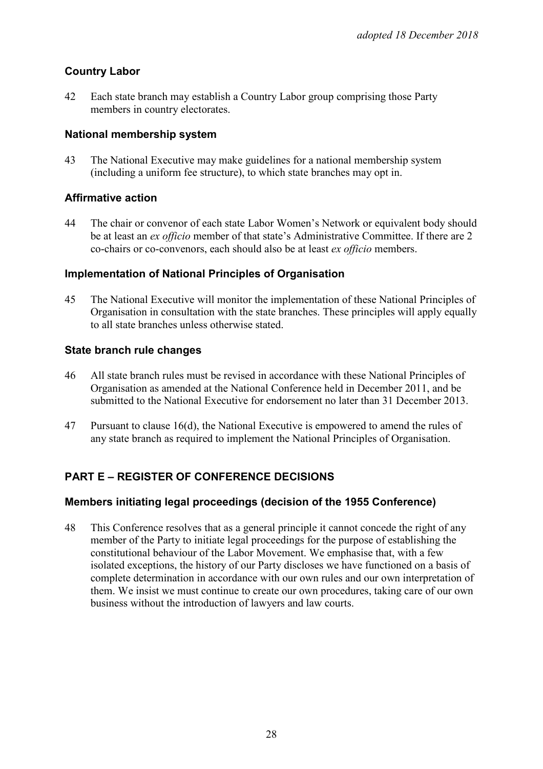# **Country Labor**

42 Each state branch may establish a Country Labor group comprising those Party members in country electorates.

#### **National membership system**

43 The National Executive may make guidelines for a national membership system (including a uniform fee structure), to which state branches may opt in.

# **Affirmative action**

44 The chair or convenor of each state Labor Women's Network or equivalent body should be at least an *ex officio* member of that state's Administrative Committee. If there are 2 co-chairs or co-convenors, each should also be at least *ex officio* members.

## **Implementation of National Principles of Organisation**

45 The National Executive will monitor the implementation of these National Principles of Organisation in consultation with the state branches. These principles will apply equally to all state branches unless otherwise stated.

## **State branch rule changes**

- 46 All state branch rules must be revised in accordance with these National Principles of Organisation as amended at the National Conference held in December 2011, and be submitted to the National Executive for endorsement no later than 31 December 2013.
- 47 Pursuant to clause 16(d), the National Executive is empowered to amend the rules of any state branch as required to implement the National Principles of Organisation.

# **PART E – REGISTER OF CONFERENCE DECISIONS**

#### **Members initiating legal proceedings (decision of the 1955 Conference)**

48 This Conference resolves that as a general principle it cannot concede the right of any member of the Party to initiate legal proceedings for the purpose of establishing the constitutional behaviour of the Labor Movement. We emphasise that, with a few isolated exceptions, the history of our Party discloses we have functioned on a basis of complete determination in accordance with our own rules and our own interpretation of them. We insist we must continue to create our own procedures, taking care of our own business without the introduction of lawyers and law courts.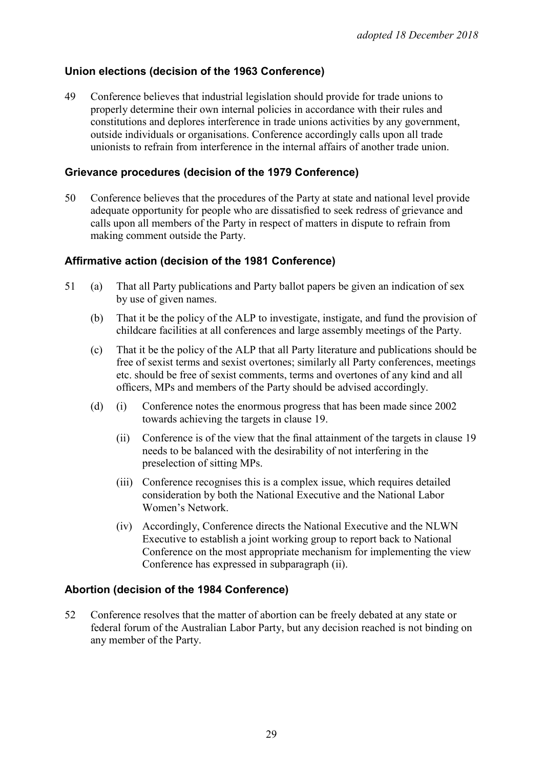## **Union elections (decision of the 1963 Conference)**

49 Conference believes that industrial legislation should provide for trade unions to properly determine their own internal policies in accordance with their rules and constitutions and deplores interference in trade unions activities by any government, outside individuals or organisations. Conference accordingly calls upon all trade unionists to refrain from interference in the internal affairs of another trade union.

#### **Grievance procedures (decision of the 1979 Conference)**

50 Conference believes that the procedures of the Party at state and national level provide adequate opportunity for people who are dissatisfied to seek redress of grievance and calls upon all members of the Party in respect of matters in dispute to refrain from making comment outside the Party.

#### **Affirmative action (decision of the 1981 Conference)**

- 51 (a) That all Party publications and Party ballot papers be given an indication of sex by use of given names.
	- (b) That it be the policy of the ALP to investigate, instigate, and fund the provision of childcare facilities at all conferences and large assembly meetings of the Party.
	- (c) That it be the policy of the ALP that all Party literature and publications should be free of sexist terms and sexist overtones; similarly all Party conferences, meetings etc. should be free of sexist comments, terms and overtones of any kind and all officers, MPs and members of the Party should be advised accordingly.
	- (d) (i) Conference notes the enormous progress that has been made since 2002 towards achieving the targets in clause 19.
		- (ii) Conference is of the view that the final attainment of the targets in clause 19 needs to be balanced with the desirability of not interfering in the preselection of sitting MPs.
		- (iii) Conference recognises this is a complex issue, which requires detailed consideration by both the National Executive and the National Labor Women's Network.
		- (iv) Accordingly, Conference directs the National Executive and the NLWN Executive to establish a joint working group to report back to National Conference on the most appropriate mechanism for implementing the view Conference has expressed in subparagraph (ii).

#### **Abortion (decision of the 1984 Conference)**

52 Conference resolves that the matter of abortion can be freely debated at any state or federal forum of the Australian Labor Party, but any decision reached is not binding on any member of the Party.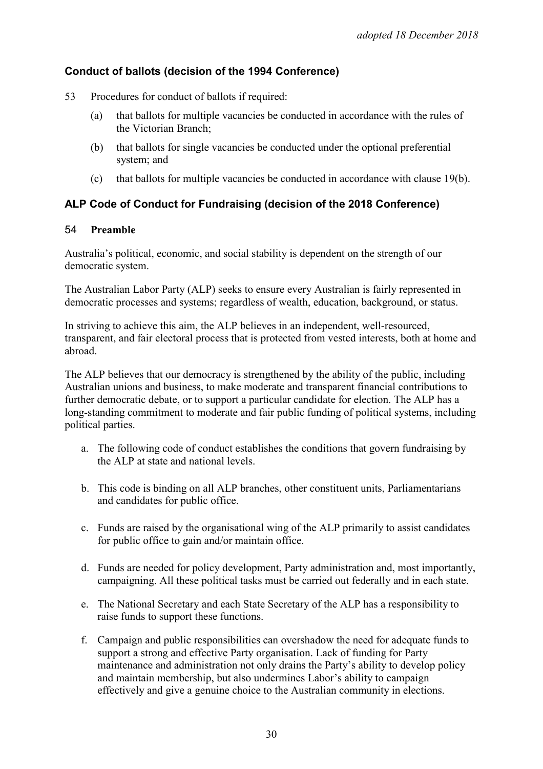# **Conduct of ballots (decision of the 1994 Conference)**

- 53 Procedures for conduct of ballots if required:
	- (a) that ballots for multiple vacancies be conducted in accordance with the rules of the Victorian Branch;
	- (b) that ballots for single vacancies be conducted under the optional preferential system; and
	- (c) that ballots for multiple vacancies be conducted in accordance with clause 19(b).

# **ALP Code of Conduct for Fundraising (decision of the 2018 Conference)**

#### 54 **Preamble**

Australia's political, economic, and social stability is dependent on the strength of our democratic system.

The Australian Labor Party (ALP) seeks to ensure every Australian is fairly represented in democratic processes and systems; regardless of wealth, education, background, or status.

In striving to achieve this aim, the ALP believes in an independent, well-resourced, transparent, and fair electoral process that is protected from vested interests, both at home and abroad.

The ALP believes that our democracy is strengthened by the ability of the public, including Australian unions and business, to make moderate and transparent financial contributions to further democratic debate, or to support a particular candidate for election. The ALP has a long-standing commitment to moderate and fair public funding of political systems, including political parties.

- a. The following code of conduct establishes the conditions that govern fundraising by the ALP at state and national levels.
- b. This code is binding on all ALP branches, other constituent units, Parliamentarians and candidates for public office.
- c. Funds are raised by the organisational wing of the ALP primarily to assist candidates for public office to gain and/or maintain office.
- d. Funds are needed for policy development, Party administration and, most importantly, campaigning. All these political tasks must be carried out federally and in each state.
- e. The National Secretary and each State Secretary of the ALP has a responsibility to raise funds to support these functions.
- f. Campaign and public responsibilities can overshadow the need for adequate funds to support a strong and effective Party organisation. Lack of funding for Party maintenance and administration not only drains the Party's ability to develop policy and maintain membership, but also undermines Labor's ability to campaign effectively and give a genuine choice to the Australian community in elections.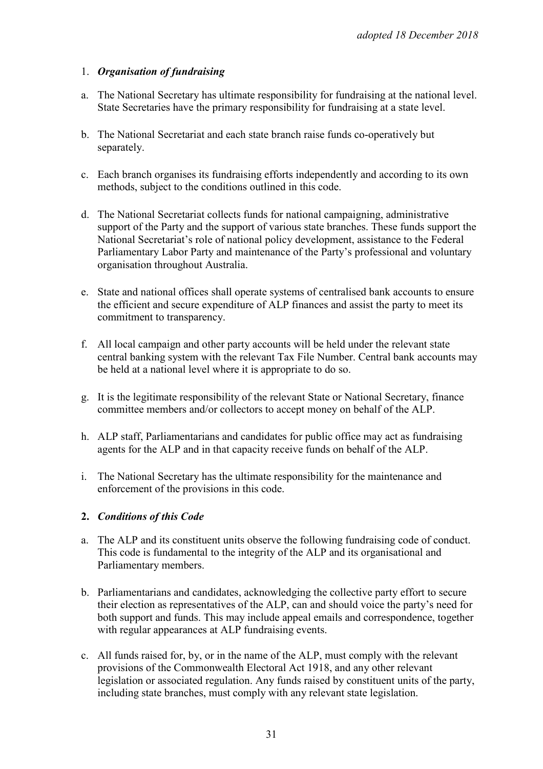## 1. *Organisation of fundraising*

- a. The National Secretary has ultimate responsibility for fundraising at the national level. State Secretaries have the primary responsibility for fundraising at a state level.
- b. The National Secretariat and each state branch raise funds co-operatively but separately.
- c. Each branch organises its fundraising efforts independently and according to its own methods, subject to the conditions outlined in this code.
- d. The National Secretariat collects funds for national campaigning, administrative support of the Party and the support of various state branches. These funds support the National Secretariat's role of national policy development, assistance to the Federal Parliamentary Labor Party and maintenance of the Party's professional and voluntary organisation throughout Australia.
- e. State and national offices shall operate systems of centralised bank accounts to ensure the efficient and secure expenditure of ALP finances and assist the party to meet its commitment to transparency.
- f. All local campaign and other party accounts will be held under the relevant state central banking system with the relevant Tax File Number. Central bank accounts may be held at a national level where it is appropriate to do so.
- g. It is the legitimate responsibility of the relevant State or National Secretary, finance committee members and/or collectors to accept money on behalf of the ALP.
- h. ALP staff, Parliamentarians and candidates for public office may act as fundraising agents for the ALP and in that capacity receive funds on behalf of the ALP.
- i. The National Secretary has the ultimate responsibility for the maintenance and enforcement of the provisions in this code.

#### **2.** *Conditions of this Code*

- a. The ALP and its constituent units observe the following fundraising code of conduct. This code is fundamental to the integrity of the ALP and its organisational and Parliamentary members.
- b. Parliamentarians and candidates, acknowledging the collective party effort to secure their election as representatives of the ALP, can and should voice the party's need for both support and funds. This may include appeal emails and correspondence, together with regular appearances at ALP fundraising events.
- c. All funds raised for, by, or in the name of the ALP, must comply with the relevant provisions of the Commonwealth Electoral Act 1918, and any other relevant legislation or associated regulation. Any funds raised by constituent units of the party, including state branches, must comply with any relevant state legislation.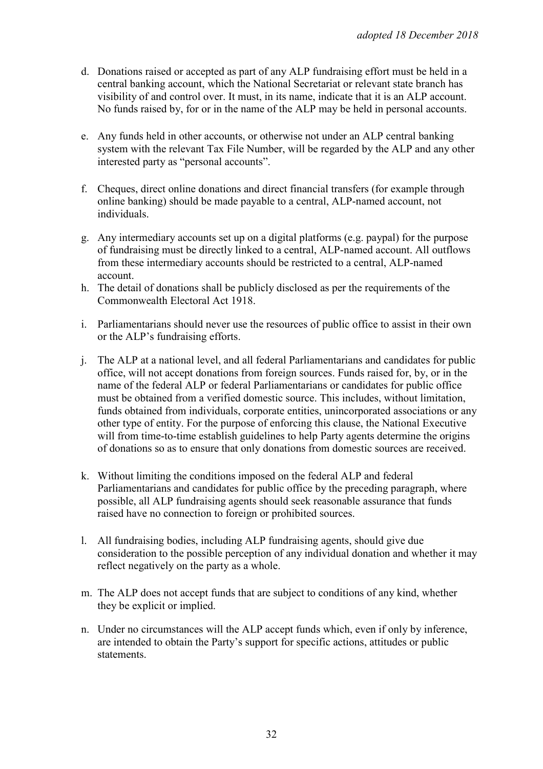- d. Donations raised or accepted as part of any ALP fundraising effort must be held in a central banking account, which the National Secretariat or relevant state branch has visibility of and control over. It must, in its name, indicate that it is an ALP account. No funds raised by, for or in the name of the ALP may be held in personal accounts.
- e. Any funds held in other accounts, or otherwise not under an ALP central banking system with the relevant Tax File Number, will be regarded by the ALP and any other interested party as "personal accounts".
- f. Cheques, direct online donations and direct financial transfers (for example through online banking) should be made payable to a central, ALP-named account, not individuals.
- g. Any intermediary accounts set up on a digital platforms (e.g. paypal) for the purpose of fundraising must be directly linked to a central, ALP-named account. All outflows from these intermediary accounts should be restricted to a central, ALP-named account.
- h. The detail of donations shall be publicly disclosed as per the requirements of the Commonwealth Electoral Act 1918.
- i. Parliamentarians should never use the resources of public office to assist in their own or the ALP's fundraising efforts.
- j. The ALP at a national level, and all federal Parliamentarians and candidates for public office, will not accept donations from foreign sources. Funds raised for, by, or in the name of the federal ALP or federal Parliamentarians or candidates for public office must be obtained from a verified domestic source. This includes, without limitation, funds obtained from individuals, corporate entities, unincorporated associations or any other type of entity. For the purpose of enforcing this clause, the National Executive will from time-to-time establish guidelines to help Party agents determine the origins of donations so as to ensure that only donations from domestic sources are received.
- k. Without limiting the conditions imposed on the federal ALP and federal Parliamentarians and candidates for public office by the preceding paragraph, where possible, all ALP fundraising agents should seek reasonable assurance that funds raised have no connection to foreign or prohibited sources.
- l. All fundraising bodies, including ALP fundraising agents, should give due consideration to the possible perception of any individual donation and whether it may reflect negatively on the party as a whole.
- m. The ALP does not accept funds that are subject to conditions of any kind, whether they be explicit or implied.
- n. Under no circumstances will the ALP accept funds which, even if only by inference, are intended to obtain the Party's support for specific actions, attitudes or public statements.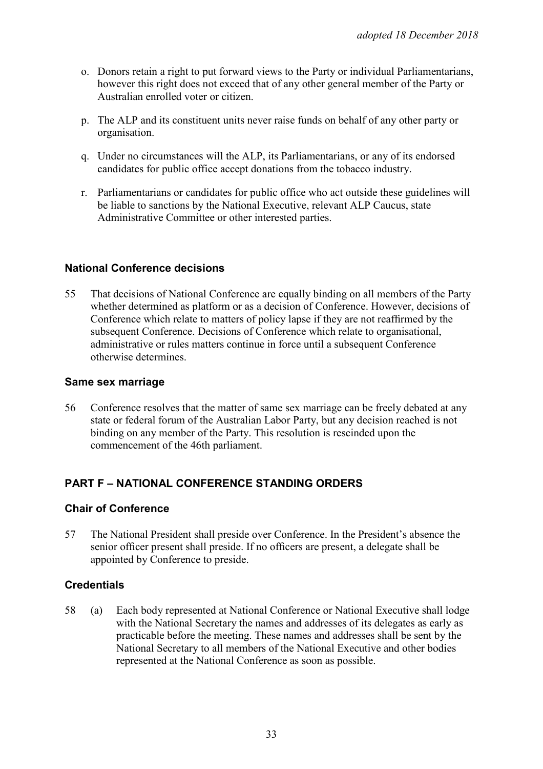- o. Donors retain a right to put forward views to the Party or individual Parliamentarians, however this right does not exceed that of any other general member of the Party or Australian enrolled voter or citizen.
- p. The ALP and its constituent units never raise funds on behalf of any other party or organisation.
- q. Under no circumstances will the ALP, its Parliamentarians, or any of its endorsed candidates for public office accept donations from the tobacco industry.
- r. Parliamentarians or candidates for public office who act outside these guidelines will be liable to sanctions by the National Executive, relevant ALP Caucus, state Administrative Committee or other interested parties.

## **National Conference decisions**

55 That decisions of National Conference are equally binding on all members of the Party whether determined as platform or as a decision of Conference. However, decisions of Conference which relate to matters of policy lapse if they are not reaffirmed by the subsequent Conference. Decisions of Conference which relate to organisational, administrative or rules matters continue in force until a subsequent Conference otherwise determines.

#### **Same sex marriage**

56 Conference resolves that the matter of same sex marriage can be freely debated at any state or federal forum of the Australian Labor Party, but any decision reached is not binding on any member of the Party. This resolution is rescinded upon the commencement of the 46th parliament.

#### **PART F – NATIONAL CONFERENCE STANDING ORDERS**

#### **Chair of Conference**

57 The National President shall preside over Conference. In the President's absence the senior officer present shall preside. If no officers are present, a delegate shall be appointed by Conference to preside.

#### **Credentials**

58 (a) Each body represented at National Conference or National Executive shall lodge with the National Secretary the names and addresses of its delegates as early as practicable before the meeting. These names and addresses shall be sent by the National Secretary to all members of the National Executive and other bodies represented at the National Conference as soon as possible.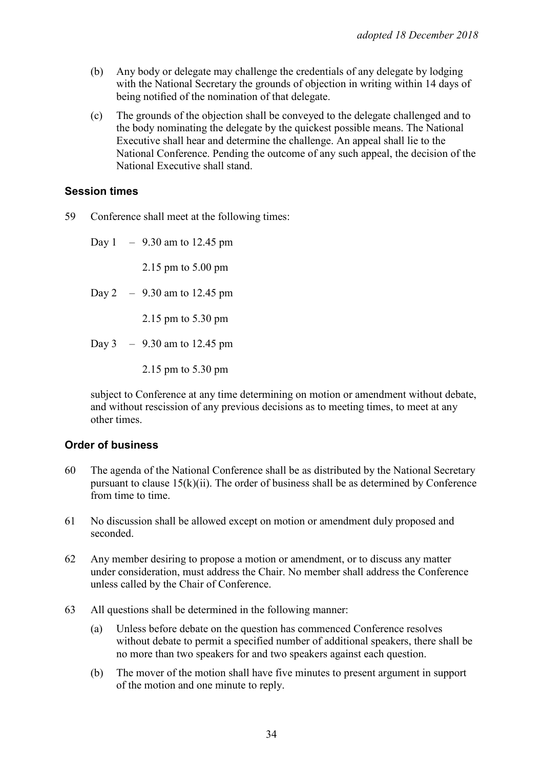- (b) Any body or delegate may challenge the credentials of any delegate by lodging with the National Secretary the grounds of objection in writing within 14 days of being notified of the nomination of that delegate.
- (c) The grounds of the objection shall be conveyed to the delegate challenged and to the body nominating the delegate by the quickest possible means. The National Executive shall hear and determine the challenge. An appeal shall lie to the National Conference. Pending the outcome of any such appeal, the decision of the National Executive shall stand.

#### **Session times**

59 Conference shall meet at the following times:

Day  $1 - 9.30$  am to 12.45 pm

2.15 pm to 5.00 pm

Day 2 – 9.30 am to 12.45 pm

2.15 pm to 5.30 pm

- Day 3 9.30 am to 12.45 pm
	- 2.15 pm to 5.30 pm

subject to Conference at any time determining on motion or amendment without debate, and without rescission of any previous decisions as to meeting times, to meet at any other times.

#### **Order of business**

- 60 The agenda of the National Conference shall be as distributed by the National Secretary pursuant to clause  $15(k)(ii)$ . The order of business shall be as determined by Conference from time to time.
- 61 No discussion shall be allowed except on motion or amendment duly proposed and seconded.
- 62 Any member desiring to propose a motion or amendment, or to discuss any matter under consideration, must address the Chair. No member shall address the Conference unless called by the Chair of Conference.
- 63 All questions shall be determined in the following manner:
	- (a) Unless before debate on the question has commenced Conference resolves without debate to permit a specified number of additional speakers, there shall be no more than two speakers for and two speakers against each question.
	- (b) The mover of the motion shall have five minutes to present argument in support of the motion and one minute to reply.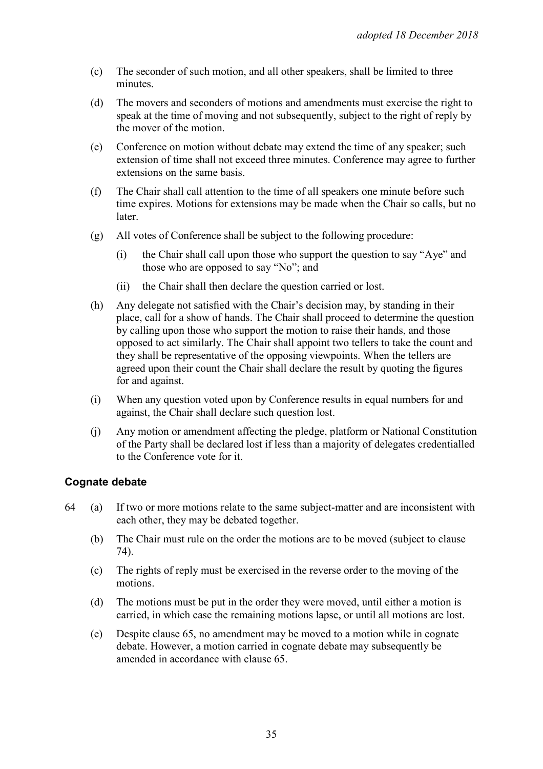- (c) The seconder of such motion, and all other speakers, shall be limited to three minutes.
- (d) The movers and seconders of motions and amendments must exercise the right to speak at the time of moving and not subsequently, subject to the right of reply by the mover of the motion.
- (e) Conference on motion without debate may extend the time of any speaker; such extension of time shall not exceed three minutes. Conference may agree to further extensions on the same basis.
- (f) The Chair shall call attention to the time of all speakers one minute before such time expires. Motions for extensions may be made when the Chair so calls, but no later.
- (g) All votes of Conference shall be subject to the following procedure:
	- (i) the Chair shall call upon those who support the question to say "Aye" and those who are opposed to say "No"; and
	- (ii) the Chair shall then declare the question carried or lost.
- (h) Any delegate not satisfied with the Chair's decision may, by standing in their place, call for a show of hands. The Chair shall proceed to determine the question by calling upon those who support the motion to raise their hands, and those opposed to act similarly. The Chair shall appoint two tellers to take the count and they shall be representative of the opposing viewpoints. When the tellers are agreed upon their count the Chair shall declare the result by quoting the figures for and against.
- (i) When any question voted upon by Conference results in equal numbers for and against, the Chair shall declare such question lost.
- (j) Any motion or amendment affecting the pledge, platform or National Constitution of the Party shall be declared lost if less than a majority of delegates credentialled to the Conference vote for it.

# **Cognate debate**

- 64 (a) If two or more motions relate to the same subject-matter and are inconsistent with each other, they may be debated together.
	- (b) The Chair must rule on the order the motions are to be moved (subject to clause 74).
	- (c) The rights of reply must be exercised in the reverse order to the moving of the motions.
	- (d) The motions must be put in the order they were moved, until either a motion is carried, in which case the remaining motions lapse, or until all motions are lost.
	- (e) Despite clause 65, no amendment may be moved to a motion while in cognate debate. However, a motion carried in cognate debate may subsequently be amended in accordance with clause 65.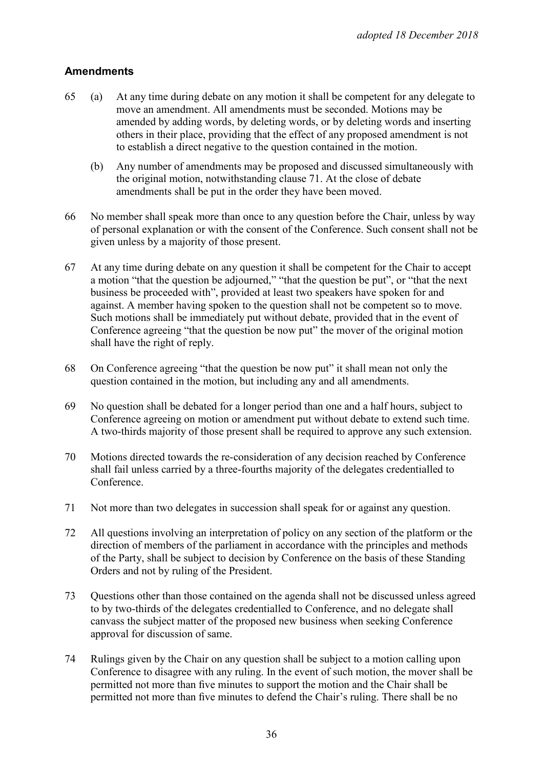# **Amendments**

- 65 (a) At any time during debate on any motion it shall be competent for any delegate to move an amendment. All amendments must be seconded. Motions may be amended by adding words, by deleting words, or by deleting words and inserting others in their place, providing that the effect of any proposed amendment is not to establish a direct negative to the question contained in the motion.
	- (b) Any number of amendments may be proposed and discussed simultaneously with the original motion, notwithstanding clause 71. At the close of debate amendments shall be put in the order they have been moved.
- 66 No member shall speak more than once to any question before the Chair, unless by way of personal explanation or with the consent of the Conference. Such consent shall not be given unless by a majority of those present.
- 67 At any time during debate on any question it shall be competent for the Chair to accept a motion "that the question be adjourned," "that the question be put", or "that the next business be proceeded with", provided at least two speakers have spoken for and against. A member having spoken to the question shall not be competent so to move. Such motions shall be immediately put without debate, provided that in the event of Conference agreeing "that the question be now put" the mover of the original motion shall have the right of reply.
- 68 On Conference agreeing "that the question be now put" it shall mean not only the question contained in the motion, but including any and all amendments.
- 69 No question shall be debated for a longer period than one and a half hours, subject to Conference agreeing on motion or amendment put without debate to extend such time. A two-thirds majority of those present shall be required to approve any such extension.
- 70 Motions directed towards the re-consideration of any decision reached by Conference shall fail unless carried by a three-fourths majority of the delegates credentialled to Conference.
- 71 Not more than two delegates in succession shall speak for or against any question.
- 72 All questions involving an interpretation of policy on any section of the platform or the direction of members of the parliament in accordance with the principles and methods of the Party, shall be subject to decision by Conference on the basis of these Standing Orders and not by ruling of the President.
- 73 Questions other than those contained on the agenda shall not be discussed unless agreed to by two-thirds of the delegates credentialled to Conference, and no delegate shall canvass the subject matter of the proposed new business when seeking Conference approval for discussion of same.
- 74 Rulings given by the Chair on any question shall be subject to a motion calling upon Conference to disagree with any ruling. In the event of such motion, the mover shall be permitted not more than five minutes to support the motion and the Chair shall be permitted not more than five minutes to defend the Chair's ruling. There shall be no